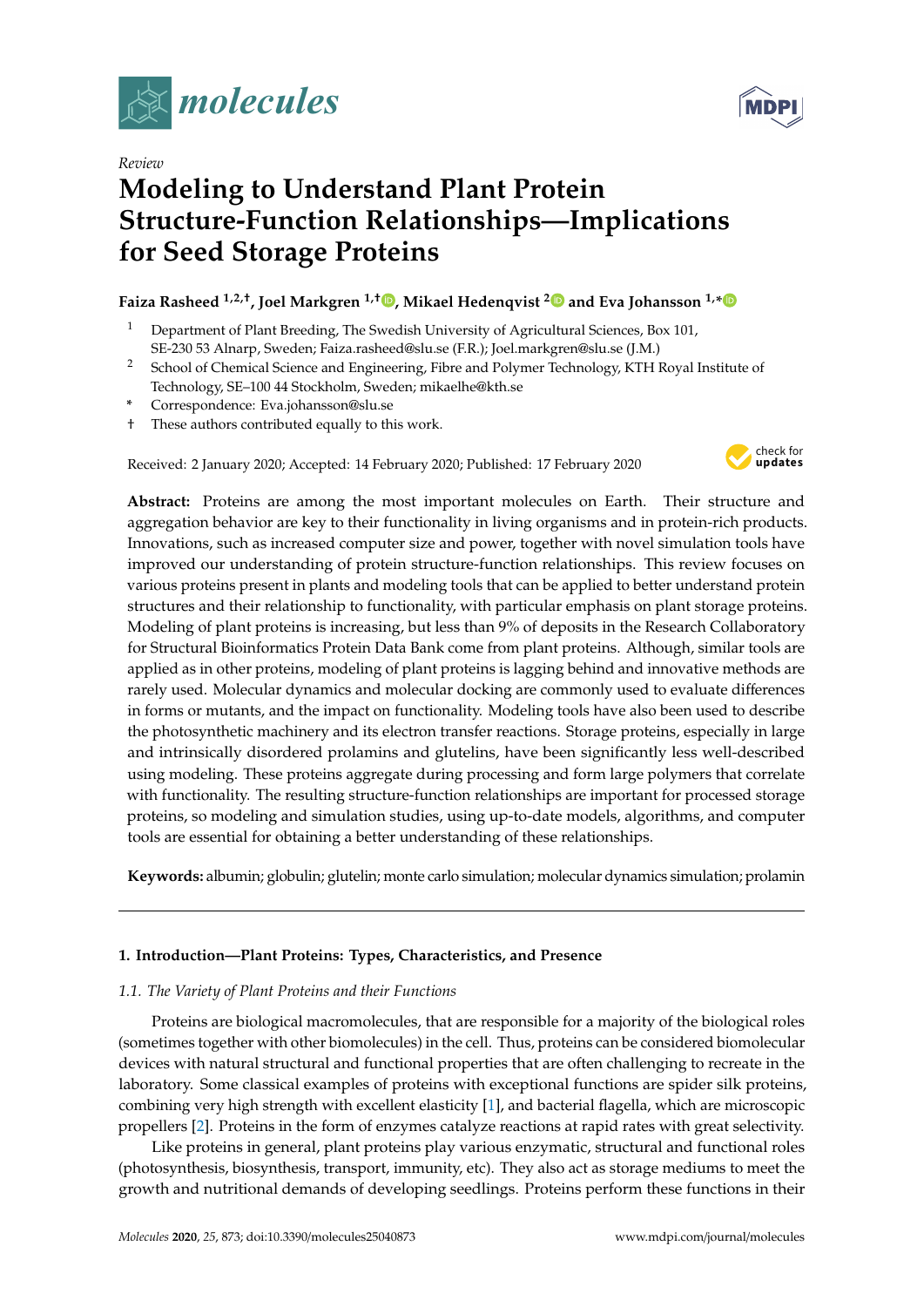

*Review*

# **Modeling to Understand Plant Protein Structure-Function Relationships—Implications for Seed Storage Proteins**

# **Faiza Rasheed 1,2,**† **, Joel Markgren 1,**† **[,](https://orcid.org/0000-0002-1487-3430) Mikael Hedenqvist [2](https://orcid.org/0000-0002-6071-6241) and Eva Johansson 1,[\\*](https://orcid.org/0000-0003-2351-5173)**

- <sup>1</sup> Department of Plant Breeding, The Swedish University of Agricultural Sciences, Box 101, SE-230 53 Alnarp, Sweden; Faiza.rasheed@slu.se (F.R.); Joel.markgren@slu.se (J.M.)
- <sup>2</sup> School of Chemical Science and Engineering, Fibre and Polymer Technology, KTH Royal Institute of Technology, SE–100 44 Stockholm, Sweden; mikaelhe@kth.se
- **\*** Correspondence: Eva.johansson@slu.se
- † These authors contributed equally to this work.

Received: 2 January 2020; Accepted: 14 February 2020; Published: 17 February 2020



**Abstract:** Proteins are among the most important molecules on Earth. Their structure and aggregation behavior are key to their functionality in living organisms and in protein-rich products. Innovations, such as increased computer size and power, together with novel simulation tools have improved our understanding of protein structure-function relationships. This review focuses on various proteins present in plants and modeling tools that can be applied to better understand protein structures and their relationship to functionality, with particular emphasis on plant storage proteins. Modeling of plant proteins is increasing, but less than 9% of deposits in the Research Collaboratory for Structural Bioinformatics Protein Data Bank come from plant proteins. Although, similar tools are applied as in other proteins, modeling of plant proteins is lagging behind and innovative methods are rarely used. Molecular dynamics and molecular docking are commonly used to evaluate differences in forms or mutants, and the impact on functionality. Modeling tools have also been used to describe the photosynthetic machinery and its electron transfer reactions. Storage proteins, especially in large and intrinsically disordered prolamins and glutelins, have been significantly less well-described using modeling. These proteins aggregate during processing and form large polymers that correlate with functionality. The resulting structure-function relationships are important for processed storage proteins, so modeling and simulation studies, using up-to-date models, algorithms, and computer tools are essential for obtaining a better understanding of these relationships.

**Keywords:** albumin; globulin; glutelin; monte carlo simulation; molecular dynamics simulation; prolamin

# **1. Introduction—Plant Proteins: Types, Characteristics, and Presence**

# *1.1. The Variety of Plant Proteins and their Functions*

Proteins are biological macromolecules, that are responsible for a majority of the biological roles (sometimes together with other biomolecules) in the cell. Thus, proteins can be considered biomolecular devices with natural structural and functional properties that are often challenging to recreate in the laboratory. Some classical examples of proteins with exceptional functions are spider silk proteins, combining very high strength with excellent elasticity [\[1\]](#page-10-0), and bacterial flagella, which are microscopic propellers [\[2\]](#page-10-1). Proteins in the form of enzymes catalyze reactions at rapid rates with great selectivity.

Like proteins in general, plant proteins play various enzymatic, structural and functional roles (photosynthesis, biosynthesis, transport, immunity, etc). They also act as storage mediums to meet the growth and nutritional demands of developing seedlings. Proteins perform these functions in their

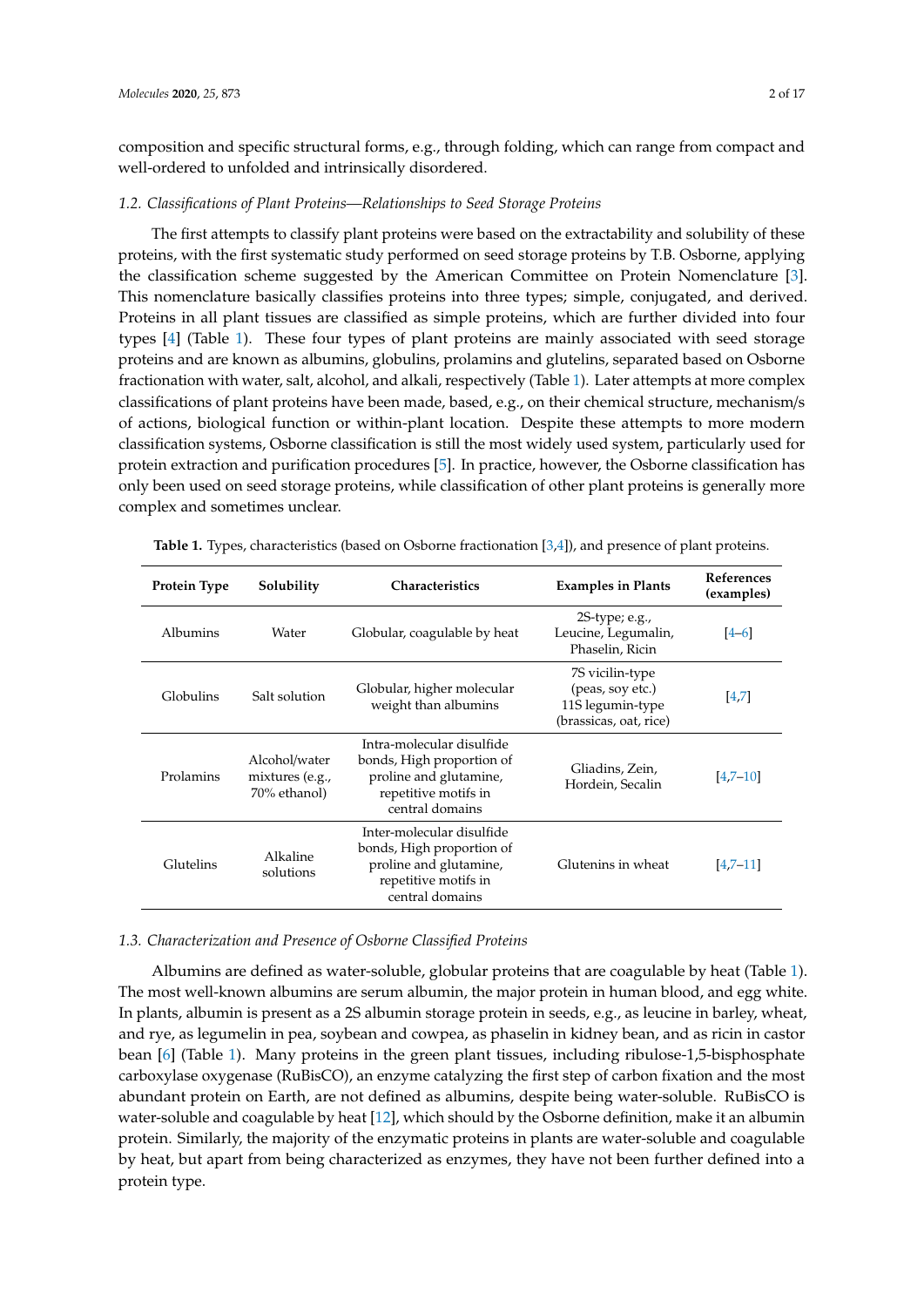composition and specific structural forms, e.g., through folding, which can range from compact and well-ordered to unfolded and intrinsically disordered.

#### *1.2. Classifications of Plant Proteins—Relationships to Seed Storage Proteins*

The first attempts to classify plant proteins were based on the extractability and solubility of these proteins, with the first systematic study performed on seed storage proteins by T.B. Osborne, applying the classification scheme suggested by the American Committee on Protein Nomenclature [\[3\]](#page-10-2). This nomenclature basically classifies proteins into three types; simple, conjugated, and derived. Proteins in all plant tissues are classified as simple proteins, which are further divided into four types [\[4\]](#page-10-3) (Table [1\)](#page-1-0). These four types of plant proteins are mainly associated with seed storage proteins and are known as albumins, globulins, prolamins and glutelins, separated based on Osborne fractionation with water, salt, alcohol, and alkali, respectively (Table [1\)](#page-1-0). Later attempts at more complex classifications of plant proteins have been made, based, e.g., on their chemical structure, mechanism/s of actions, biological function or within-plant location. Despite these attempts to more modern classification systems, Osborne classification is still the most widely used system, particularly used for protein extraction and purification procedures [\[5\]](#page-10-4). In practice, however, the Osborne classification has only been used on seed storage proteins, while classification of other plant proteins is generally more complex and sometimes unclear.

| Protein Type    | Solubility                                       | <b>Characteristics</b>                                                                                                      | <b>Examples in Plants</b>                                                         | <b>References</b><br>(examples) |
|-----------------|--------------------------------------------------|-----------------------------------------------------------------------------------------------------------------------------|-----------------------------------------------------------------------------------|---------------------------------|
| <b>Albumins</b> | Water                                            | Globular, coagulable by heat                                                                                                | $2S$ -type; e.g.,<br>Leucine, Legumalin,<br>Phaselin, Ricin                       | $4 - 6$                         |
| Globulins       | Salt solution                                    | Globular, higher molecular<br>weight than albumins                                                                          | 7S vicilin-type<br>(peas, soy etc.)<br>11S legumin-type<br>(brassicas, oat, rice) | 4,7                             |
| Prolamins       | Alcohol/water<br>mixtures (e.g.,<br>70% ethanol) | Intra-molecular disulfide<br>bonds, High proportion of<br>proline and glutamine,<br>repetitive motifs in<br>central domains | Gliadins, Zein,<br>Hordein, Secalin                                               | $[4,7-10]$                      |
| Glutelins       | Alkaline<br>solutions                            | Inter-molecular disulfide<br>bonds, High proportion of<br>proline and glutamine,<br>repetitive motifs in<br>central domains | Glutenins in wheat                                                                | $[4,7-11]$                      |

<span id="page-1-0"></span>**Table 1.** Types, characteristics (based on Osborne fractionation [\[3,](#page-10-2)[4\]](#page-10-3)), and presence of plant proteins.

# *1.3. Characterization and Presence of Osborne Classified Proteins*

Albumins are defined as water-soluble, globular proteins that are coagulable by heat (Table [1\)](#page-1-0). The most well-known albumins are serum albumin, the major protein in human blood, and egg white. In plants, albumin is present as a 2S albumin storage protein in seeds, e.g., as leucine in barley, wheat, and rye, as legumelin in pea, soybean and cowpea, as phaselin in kidney bean, and as ricin in castor bean [\[6\]](#page-10-5) (Table [1\)](#page-1-0). Many proteins in the green plant tissues, including ribulose-1,5-bisphosphate carboxylase oxygenase (RuBisCO), an enzyme catalyzing the first step of carbon fixation and the most abundant protein on Earth, are not defined as albumins, despite being water-soluble. RuBisCO is water-soluble and coagulable by heat [\[12\]](#page-10-9), which should by the Osborne definition, make it an albumin protein. Similarly, the majority of the enzymatic proteins in plants are water-soluble and coagulable by heat, but apart from being characterized as enzymes, they have not been further defined into a protein type.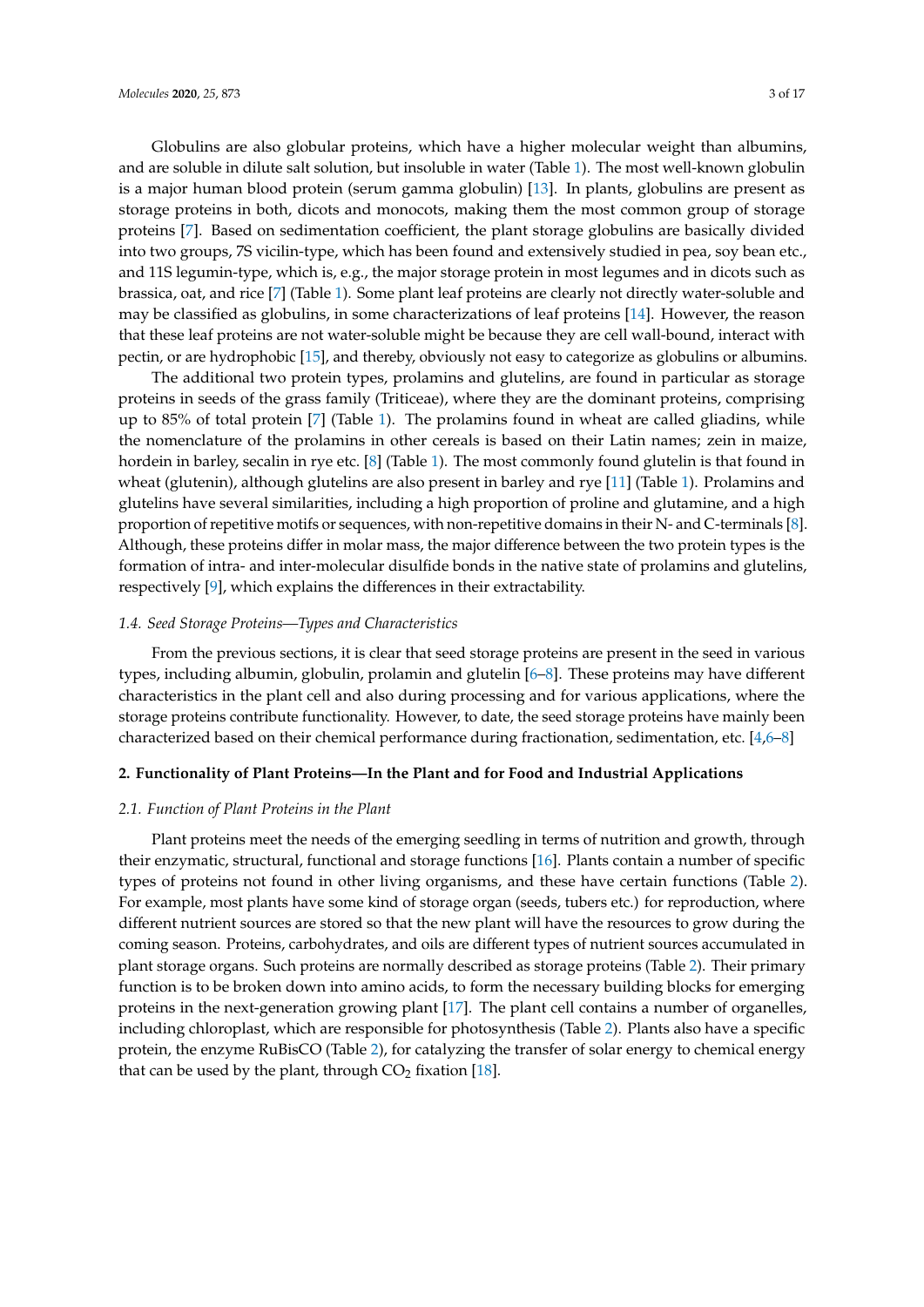Globulins are also globular proteins, which have a higher molecular weight than albumins, and are soluble in dilute salt solution, but insoluble in water (Table [1\)](#page-1-0). The most well-known globulin is a major human blood protein (serum gamma globulin) [\[13\]](#page-11-0). In plants, globulins are present as storage proteins in both, dicots and monocots, making them the most common group of storage proteins [\[7\]](#page-10-6). Based on sedimentation coefficient, the plant storage globulins are basically divided into two groups, 7S vicilin-type, which has been found and extensively studied in pea, soy bean etc., and 11S legumin-type, which is, e.g., the major storage protein in most legumes and in dicots such as brassica, oat, and rice [\[7\]](#page-10-6) (Table [1\)](#page-1-0). Some plant leaf proteins are clearly not directly water-soluble and may be classified as globulins, in some characterizations of leaf proteins [\[14\]](#page-11-1). However, the reason that these leaf proteins are not water-soluble might be because they are cell wall-bound, interact with pectin, or are hydrophobic [\[15\]](#page-11-2), and thereby, obviously not easy to categorize as globulins or albumins.

The additional two protein types, prolamins and glutelins, are found in particular as storage proteins in seeds of the grass family (Triticeae), where they are the dominant proteins, comprising up to 85% of total protein [\[7\]](#page-10-6) (Table [1\)](#page-1-0). The prolamins found in wheat are called gliadins, while the nomenclature of the prolamins in other cereals is based on their Latin names; zein in maize, hordein in barley, secalin in rye etc. [\[8\]](#page-10-10) (Table [1\)](#page-1-0). The most commonly found glutelin is that found in wheat (glutenin), although glutelins are also present in barley and rye [\[11\]](#page-10-8) (Table [1\)](#page-1-0). Prolamins and glutelins have several similarities, including a high proportion of proline and glutamine, and a high proportion of repetitive motifs or sequences, with non-repetitive domains in their N- and C-terminals [\[8\]](#page-10-10). Although, these proteins differ in molar mass, the major difference between the two protein types is the formation of intra- and inter-molecular disulfide bonds in the native state of prolamins and glutelins, respectively [\[9\]](#page-10-11), which explains the differences in their extractability.

#### *1.4. Seed Storage Proteins—Types and Characteristics*

From the previous sections, it is clear that seed storage proteins are present in the seed in various types, including albumin, globulin, prolamin and glutelin [\[6](#page-10-5)[–8\]](#page-10-10). These proteins may have different characteristics in the plant cell and also during processing and for various applications, where the storage proteins contribute functionality. However, to date, the seed storage proteins have mainly been characterized based on their chemical performance during fractionation, sedimentation, etc. [\[4,](#page-10-3)[6–](#page-10-5)[8\]](#page-10-10)

# **2. Functionality of Plant Proteins—In the Plant and for Food and Industrial Applications**

# *2.1. Function of Plant Proteins in the Plant*

Plant proteins meet the needs of the emerging seedling in terms of nutrition and growth, through their enzymatic, structural, functional and storage functions [\[16\]](#page-11-3). Plants contain a number of specific types of proteins not found in other living organisms, and these have certain functions (Table [2\)](#page-3-0). For example, most plants have some kind of storage organ (seeds, tubers etc.) for reproduction, where different nutrient sources are stored so that the new plant will have the resources to grow during the coming season. Proteins, carbohydrates, and oils are different types of nutrient sources accumulated in plant storage organs. Such proteins are normally described as storage proteins (Table [2\)](#page-3-0). Their primary function is to be broken down into amino acids, to form the necessary building blocks for emerging proteins in the next-generation growing plant [\[17\]](#page-11-4). The plant cell contains a number of organelles, including chloroplast, which are responsible for photosynthesis (Table [2\)](#page-3-0). Plants also have a specific protein, the enzyme RuBisCO (Table [2\)](#page-3-0), for catalyzing the transfer of solar energy to chemical energy that can be used by the plant, through  $CO<sub>2</sub>$  fixation [\[18\]](#page-11-5).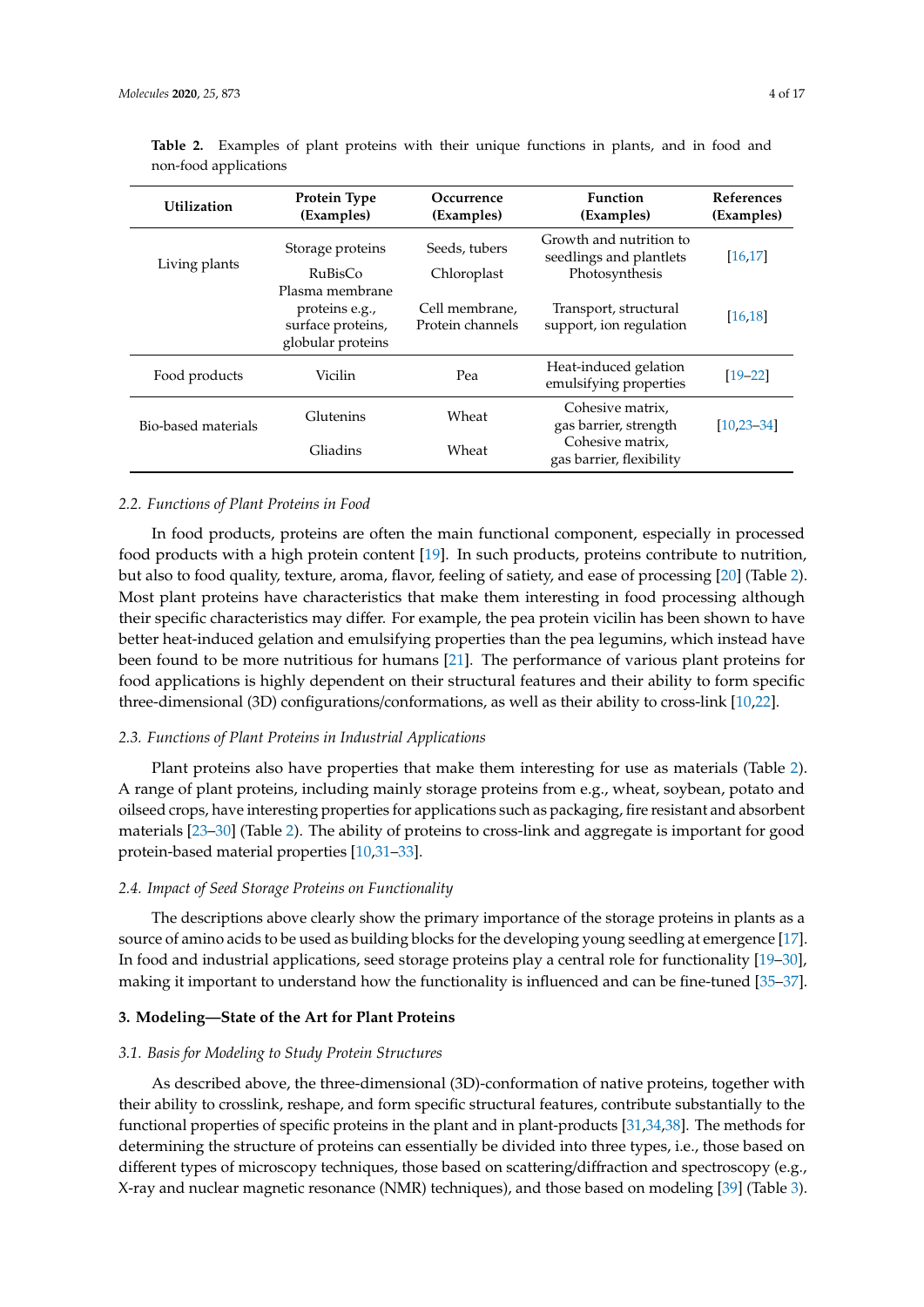| <b>Utilization</b>  | <b>Protein Type</b><br>(Examples)                                           | Occurrence<br>(Examples)           | <b>Function</b><br>(Examples)                                        | <b>References</b><br>(Examples) |
|---------------------|-----------------------------------------------------------------------------|------------------------------------|----------------------------------------------------------------------|---------------------------------|
| Living plants       | Storage proteins<br>RuBisCo                                                 | Seeds, tubers<br>Chloroplast       | Growth and nutrition to<br>seedlings and plantlets<br>Photosynthesis | [16, 17]                        |
|                     | Plasma membrane<br>proteins e.g.,<br>surface proteins,<br>globular proteins | Cell membrane,<br>Protein channels | Transport, structural<br>support, ion regulation                     | [16, 18]                        |
| Food products       | Vicilin                                                                     | Pea                                | Heat-induced gelation<br>emulsifying properties                      | $[19 - 22]$                     |
| Bio-based materials | Glutenins                                                                   | Wheat                              | Cohesive matrix,<br>gas barrier, strength                            | $[10, 23 - 34]$                 |
|                     | Gliadins                                                                    | Wheat                              | Cohesive matrix,<br>gas barrier, flexibility                         |                                 |

<span id="page-3-0"></span>**Table 2.** Examples of plant proteins with their unique functions in plants, and in food and non-food applications

#### *2.2. Functions of Plant Proteins in Food*

In food products, proteins are often the main functional component, especially in processed food products with a high protein content [\[19\]](#page-11-6). In such products, proteins contribute to nutrition, but also to food quality, texture, aroma, flavor, feeling of satiety, and ease of processing [\[20\]](#page-11-9) (Table [2\)](#page-3-0). Most plant proteins have characteristics that make them interesting in food processing although their specific characteristics may differ. For example, the pea protein vicilin has been shown to have better heat-induced gelation and emulsifying properties than the pea legumins, which instead have been found to be more nutritious for humans [\[21\]](#page-11-10). The performance of various plant proteins for food applications is highly dependent on their structural features and their ability to form specific three-dimensional (3D) configurations/conformations, as well as their ability to cross-link [\[10](#page-10-7)[,22\]](#page-11-7).

# *2.3. Functions of Plant Proteins in Industrial Applications*

Plant proteins also have properties that make them interesting for use as materials (Table [2\)](#page-3-0). A range of plant proteins, including mainly storage proteins from e.g., wheat, soybean, potato and oilseed crops, have interesting properties for applications such as packaging, fire resistant and absorbent materials [\[23–](#page-11-8)[30\]](#page-11-11) (Table [2\)](#page-3-0). The ability of proteins to cross-link and aggregate is important for good protein-based material properties [\[10](#page-10-7)[,31–](#page-11-12)[33\]](#page-11-13).

# *2.4. Impact of Seed Storage Proteins on Functionality*

The descriptions above clearly show the primary importance of the storage proteins in plants as a source of amino acids to be used as building blocks for the developing young seedling at emergence [\[17\]](#page-11-4). In food and industrial applications, seed storage proteins play a central role for functionality [\[19](#page-11-6)[–30\]](#page-11-11), making it important to understand how the functionality is influenced and can be fine-tuned [\[35–](#page-12-1)[37\]](#page-12-2).

# **3. Modeling—State of the Art for Plant Proteins**

#### *3.1. Basis for Modeling to Study Protein Structures*

As described above, the three-dimensional (3D)-conformation of native proteins, together with their ability to crosslink, reshape, and form specific structural features, contribute substantially to the functional properties of specific proteins in the plant and in plant-products [\[31](#page-11-12)[,34,](#page-12-0)[38\]](#page-12-3). The methods for determining the structure of proteins can essentially be divided into three types, i.e., those based on different types of microscopy techniques, those based on scattering/diffraction and spectroscopy (e.g., X-ray and nuclear magnetic resonance (NMR) techniques), and those based on modeling [\[39\]](#page-12-4) (Table [3\)](#page-4-0).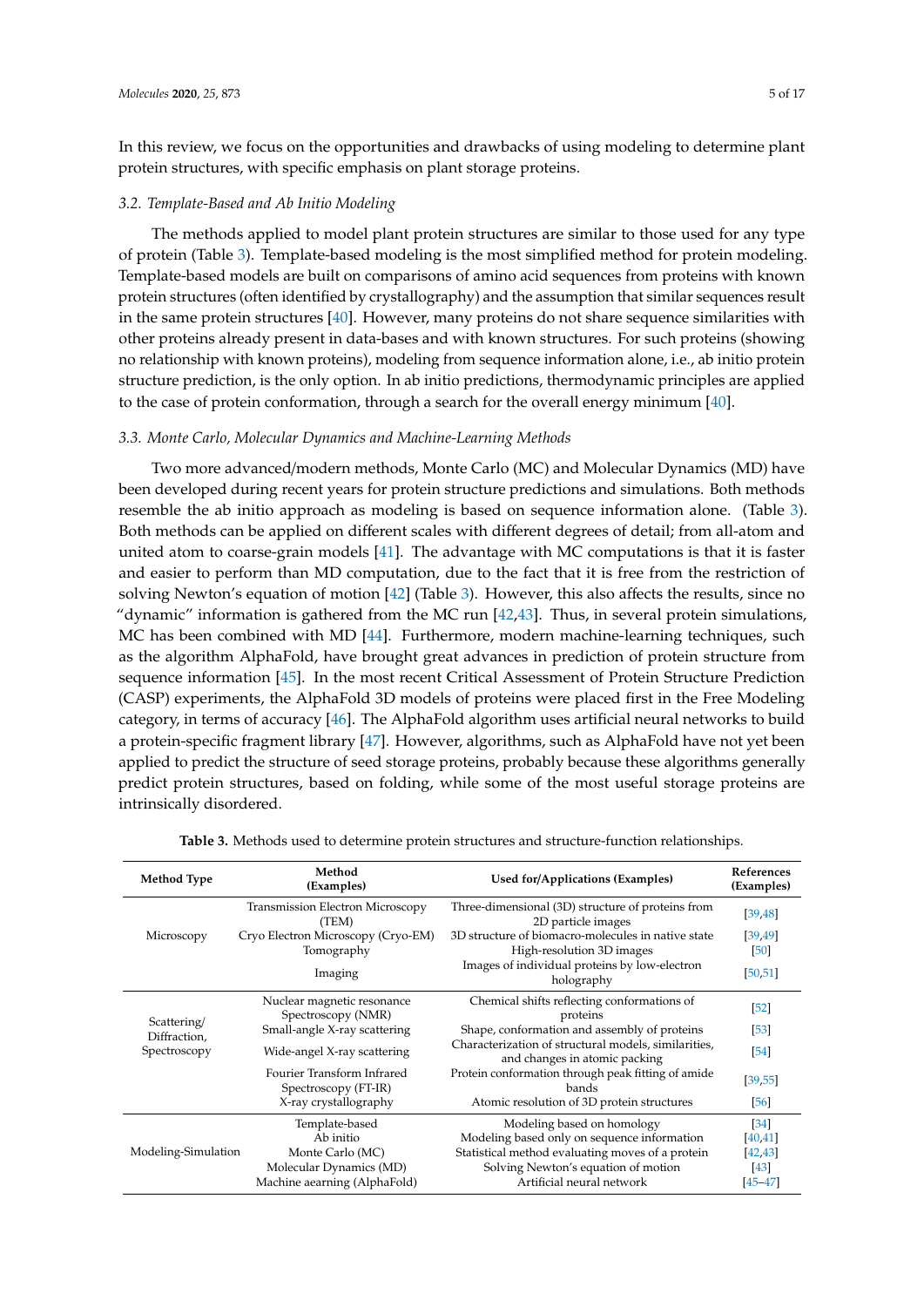In this review, we focus on the opportunities and drawbacks of using modeling to determine plant protein structures, with specific emphasis on plant storage proteins.

# *3.2. Template-Based and Ab Initio Modeling*

The methods applied to model plant protein structures are similar to those used for any type of protein (Table [3\)](#page-4-0). Template-based modeling is the most simplified method for protein modeling. Template-based models are built on comparisons of amino acid sequences from proteins with known protein structures (often identified by crystallography) and the assumption that similar sequences result in the same protein structures [\[40\]](#page-12-5). However, many proteins do not share sequence similarities with other proteins already present in data-bases and with known structures. For such proteins (showing no relationship with known proteins), modeling from sequence information alone, i.e., ab initio protein structure prediction, is the only option. In ab initio predictions, thermodynamic principles are applied to the case of protein conformation, through a search for the overall energy minimum [\[40\]](#page-12-5).

# *3.3. Monte Carlo, Molecular Dynamics and Machine-Learning Methods*

Two more advanced/modern methods, Monte Carlo (MC) and Molecular Dynamics (MD) have been developed during recent years for protein structure predictions and simulations. Both methods resemble the ab initio approach as modeling is based on sequence information alone. (Table [3\)](#page-4-0). Both methods can be applied on different scales with different degrees of detail; from all-atom and united atom to coarse-grain models [\[41\]](#page-12-6). The advantage with MC computations is that it is faster and easier to perform than MD computation, due to the fact that it is free from the restriction of solving Newton's equation of motion [\[42\]](#page-12-7) (Table [3\)](#page-4-0). However, this also affects the results, since no "dynamic" information is gathered from the MC run [\[42,](#page-12-7)[43\]](#page-12-8). Thus, in several protein simulations, MC has been combined with MD [\[44\]](#page-12-9). Furthermore, modern machine-learning techniques, such as the algorithm AlphaFold, have brought great advances in prediction of protein structure from sequence information [\[45\]](#page-12-10). In the most recent Critical Assessment of Protein Structure Prediction (CASP) experiments, the AlphaFold 3D models of proteins were placed first in the Free Modeling category, in terms of accuracy [\[46\]](#page-12-11). The AlphaFold algorithm uses artificial neural networks to build a protein-specific fragment library [\[47\]](#page-12-12). However, algorithms, such as AlphaFold have not yet been applied to predict the structure of seed storage proteins, probably because these algorithms generally predict protein structures, based on folding, while some of the most useful storage proteins are intrinsically disordered.

<span id="page-4-0"></span>

| <b>Method Type</b>                          | Method<br>(Examples)                               | Used for/Applications (Examples)                                                      | <b>References</b><br>(Examples) |
|---------------------------------------------|----------------------------------------------------|---------------------------------------------------------------------------------------|---------------------------------|
|                                             | <b>Transmission Electron Microscopy</b><br>(TEM)   | Three-dimensional (3D) structure of proteins from<br>2D particle images               | [39, 48]                        |
| Microscopy                                  | Cryo Electron Microscopy (Cryo-EM)                 | 3D structure of biomacro-molecules in native state                                    | [39, 49]                        |
|                                             | Tomography                                         | High-resolution 3D images                                                             | [50]                            |
|                                             | Imaging                                            | Images of individual proteins by low-electron<br>holography                           | [50, 51]                        |
| Scattering/<br>Diffraction,<br>Spectroscopy | Nuclear magnetic resonance<br>Spectroscopy (NMR)   | Chemical shifts reflecting conformations of<br>proteins                               | $\lceil 52 \rceil$              |
|                                             | Small-angle X-ray scattering                       | Shape, conformation and assembly of proteins                                          | $\left[53\right]$               |
|                                             | Wide-angel X-ray scattering                        | Characterization of structural models, similarities,<br>and changes in atomic packing | [54]                            |
|                                             | Fourier Transform Infrared<br>Spectroscopy (FT-IR) | Protein conformation through peak fitting of amide<br>bands                           | [39, 55]                        |
|                                             | X-ray crystallography                              | Atomic resolution of 3D protein structures                                            | [56]                            |
|                                             | Template-based                                     | Modeling based on homology                                                            | $\left[34\right]$               |
|                                             | Ab initio                                          | Modeling based only on sequence information                                           | [40, 41]                        |
| Modeling-Simulation                         | Monte Carlo (MC)                                   | Statistical method evaluating moves of a protein                                      | [42, 43]                        |
|                                             | Molecular Dynamics (MD)                            | Solving Newton's equation of motion                                                   | $[43]$                          |
|                                             | Machine aearning (AlphaFold)                       | Artificial neural network                                                             | $[45 - 47]$                     |

**Table 3.** Methods used to determine protein structures and structure-function relationships.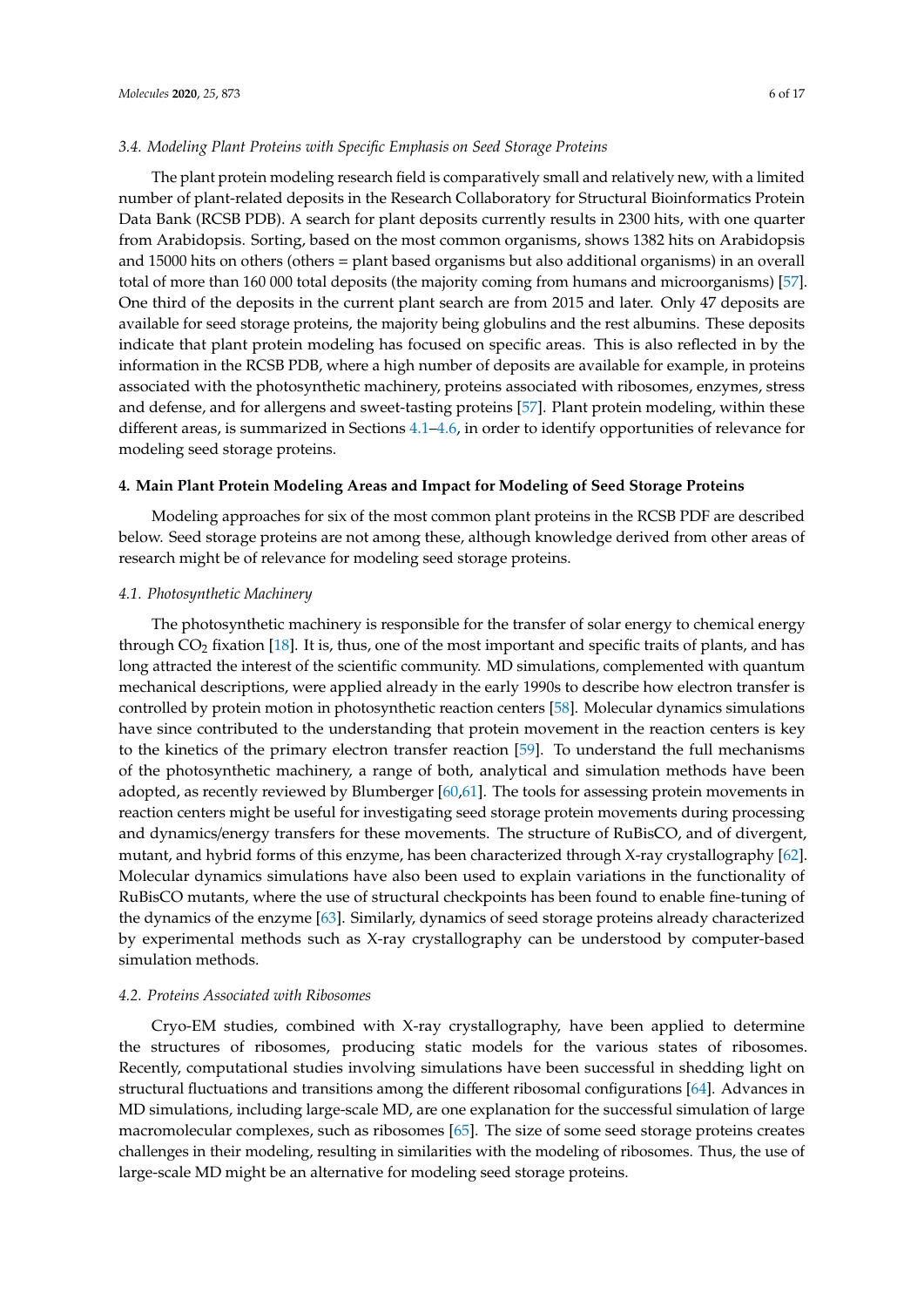#### *3.4. Modeling Plant Proteins with Specific Emphasis on Seed Storage Proteins*

The plant protein modeling research field is comparatively small and relatively new, with a limited number of plant-related deposits in the Research Collaboratory for Structural Bioinformatics Protein Data Bank (RCSB PDB). A search for plant deposits currently results in 2300 hits, with one quarter from Arabidopsis. Sorting, based on the most common organisms, shows 1382 hits on Arabidopsis and 15000 hits on others (others = plant based organisms but also additional organisms) in an overall total of more than 160 000 total deposits (the majority coming from humans and microorganisms) [\[57\]](#page-12-22). One third of the deposits in the current plant search are from 2015 and later. Only 47 deposits are available for seed storage proteins, the majority being globulins and the rest albumins. These deposits indicate that plant protein modeling has focused on specific areas. This is also reflected in by the information in the RCSB PDB, where a high number of deposits are available for example, in proteins associated with the photosynthetic machinery, proteins associated with ribosomes, enzymes, stress and defense, and for allergens and sweet-tasting proteins [\[57\]](#page-12-22). Plant protein modeling, within these different areas, is summarized in Sections [4.1–](#page-5-0)[4.6,](#page-6-0) in order to identify opportunities of relevance for modeling seed storage proteins.

# **4. Main Plant Protein Modeling Areas and Impact for Modeling of Seed Storage Proteins**

Modeling approaches for six of the most common plant proteins in the RCSB PDF are described below. Seed storage proteins are not among these, although knowledge derived from other areas of research might be of relevance for modeling seed storage proteins.

#### <span id="page-5-0"></span>*4.1. Photosynthetic Machinery*

The photosynthetic machinery is responsible for the transfer of solar energy to chemical energy through CO<sup>2</sup> fixation [\[18\]](#page-11-5). It is, thus, one of the most important and specific traits of plants, and has long attracted the interest of the scientific community. MD simulations, complemented with quantum mechanical descriptions, were applied already in the early 1990s to describe how electron transfer is controlled by protein motion in photosynthetic reaction centers [\[58\]](#page-13-0). Molecular dynamics simulations have since contributed to the understanding that protein movement in the reaction centers is key to the kinetics of the primary electron transfer reaction [\[59\]](#page-13-1). To understand the full mechanisms of the photosynthetic machinery, a range of both, analytical and simulation methods have been adopted, as recently reviewed by Blumberger [\[60](#page-13-2)[,61\]](#page-13-3). The tools for assessing protein movements in reaction centers might be useful for investigating seed storage protein movements during processing and dynamics/energy transfers for these movements. The structure of RuBisCO, and of divergent, mutant, and hybrid forms of this enzyme, has been characterized through X-ray crystallography [\[62\]](#page-13-4). Molecular dynamics simulations have also been used to explain variations in the functionality of RuBisCO mutants, where the use of structural checkpoints has been found to enable fine-tuning of the dynamics of the enzyme [\[63\]](#page-13-5). Similarly, dynamics of seed storage proteins already characterized by experimental methods such as X-ray crystallography can be understood by computer-based simulation methods.

#### *4.2. Proteins Associated with Ribosomes*

Cryo-EM studies, combined with X-ray crystallography, have been applied to determine the structures of ribosomes, producing static models for the various states of ribosomes. Recently, computational studies involving simulations have been successful in shedding light on structural fluctuations and transitions among the different ribosomal configurations [\[64\]](#page-13-6). Advances in MD simulations, including large-scale MD, are one explanation for the successful simulation of large macromolecular complexes, such as ribosomes [\[65\]](#page-13-7). The size of some seed storage proteins creates challenges in their modeling, resulting in similarities with the modeling of ribosomes. Thus, the use of large-scale MD might be an alternative for modeling seed storage proteins.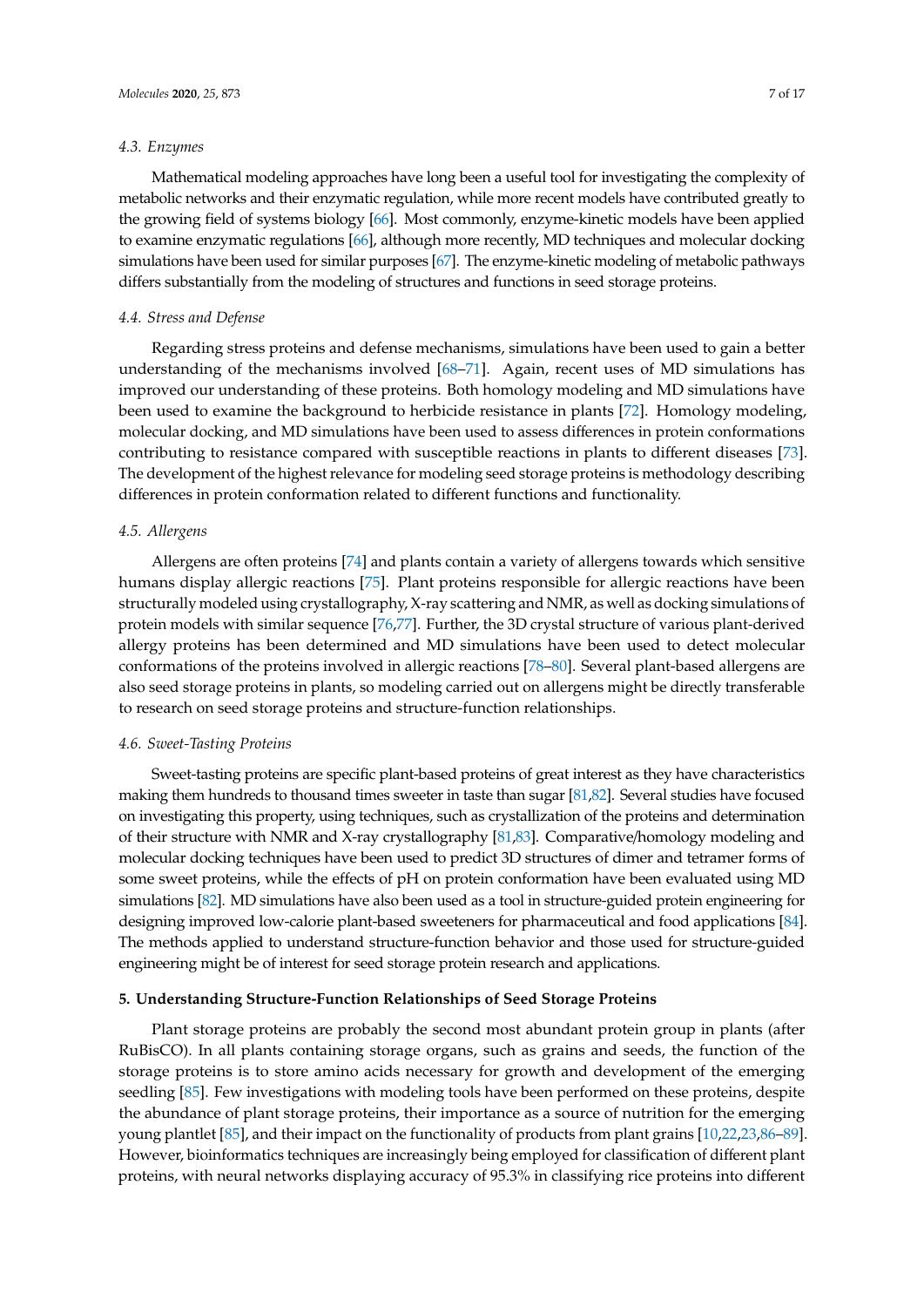# *4.3. Enzymes*

Mathematical modeling approaches have long been a useful tool for investigating the complexity of metabolic networks and their enzymatic regulation, while more recent models have contributed greatly to the growing field of systems biology [\[66\]](#page-13-8). Most commonly, enzyme-kinetic models have been applied to examine enzymatic regulations [\[66\]](#page-13-8), although more recently, MD techniques and molecular docking simulations have been used for similar purposes [\[67\]](#page-13-9). The enzyme-kinetic modeling of metabolic pathways differs substantially from the modeling of structures and functions in seed storage proteins.

### *4.4. Stress and Defense*

Regarding stress proteins and defense mechanisms, simulations have been used to gain a better understanding of the mechanisms involved [\[68–](#page-13-10)[71\]](#page-13-11). Again, recent uses of MD simulations has improved our understanding of these proteins. Both homology modeling and MD simulations have been used to examine the background to herbicide resistance in plants [\[72\]](#page-13-12). Homology modeling, molecular docking, and MD simulations have been used to assess differences in protein conformations contributing to resistance compared with susceptible reactions in plants to different diseases [\[73\]](#page-13-13). The development of the highest relevance for modeling seed storage proteins is methodology describing differences in protein conformation related to different functions and functionality.

#### *4.5. Allergens*

Allergens are often proteins [\[74\]](#page-13-14) and plants contain a variety of allergens towards which sensitive humans display allergic reactions [\[75\]](#page-13-15). Plant proteins responsible for allergic reactions have been structurally modeled using crystallography, X-ray scattering and NMR, as well as docking simulations of protein models with similar sequence [\[76,](#page-13-16)[77\]](#page-13-17). Further, the 3D crystal structure of various plant-derived allergy proteins has been determined and MD simulations have been used to detect molecular conformations of the proteins involved in allergic reactions [\[78–](#page-13-18)[80\]](#page-14-0). Several plant-based allergens are also seed storage proteins in plants, so modeling carried out on allergens might be directly transferable to research on seed storage proteins and structure-function relationships.

# <span id="page-6-0"></span>*4.6. Sweet-Tasting Proteins*

Sweet-tasting proteins are specific plant-based proteins of great interest as they have characteristics making them hundreds to thousand times sweeter in taste than sugar [\[81](#page-14-1)[,82\]](#page-14-2). Several studies have focused on investigating this property, using techniques, such as crystallization of the proteins and determination of their structure with NMR and X-ray crystallography [\[81](#page-14-1)[,83\]](#page-14-3). Comparative/homology modeling and molecular docking techniques have been used to predict 3D structures of dimer and tetramer forms of some sweet proteins, while the effects of pH on protein conformation have been evaluated using MD simulations [\[82\]](#page-14-2). MD simulations have also been used as a tool in structure-guided protein engineering for designing improved low-calorie plant-based sweeteners for pharmaceutical and food applications [\[84\]](#page-14-4). The methods applied to understand structure-function behavior and those used for structure-guided engineering might be of interest for seed storage protein research and applications.

## **5. Understanding Structure-Function Relationships of Seed Storage Proteins**

Plant storage proteins are probably the second most abundant protein group in plants (after RuBisCO). In all plants containing storage organs, such as grains and seeds, the function of the storage proteins is to store amino acids necessary for growth and development of the emerging seedling [\[85\]](#page-14-5). Few investigations with modeling tools have been performed on these proteins, despite the abundance of plant storage proteins, their importance as a source of nutrition for the emerging young plantlet [\[85\]](#page-14-5), and their impact on the functionality of products from plant grains [\[10,](#page-10-7)[22,](#page-11-7)[23,](#page-11-8)[86–](#page-14-6)[89\]](#page-14-7). However, bioinformatics techniques are increasingly being employed for classification of different plant proteins, with neural networks displaying accuracy of 95.3% in classifying rice proteins into different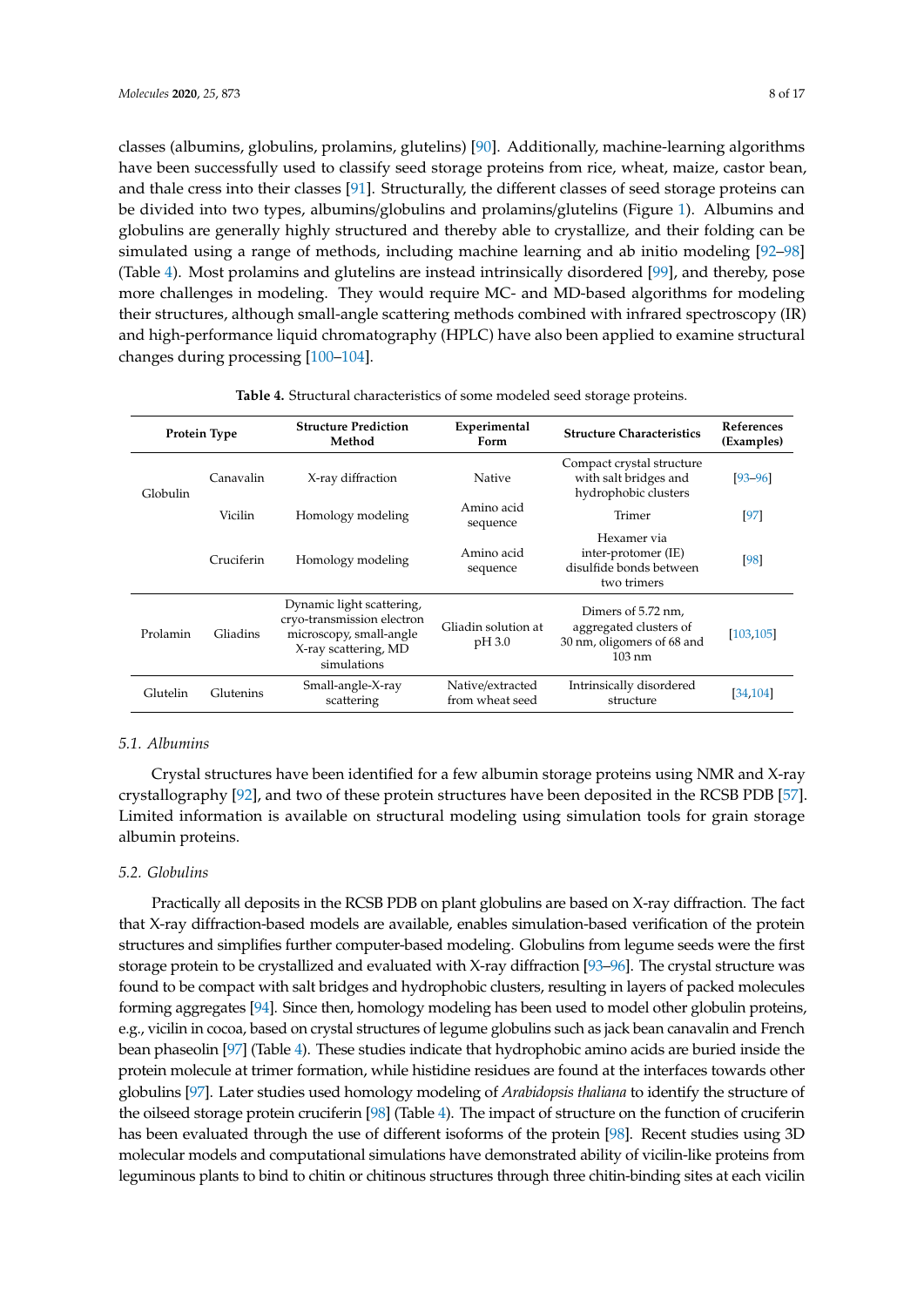classes (albumins, globulins, prolamins, glutelins) [\[90\]](#page-14-8). Additionally, machine-learning algorithms have been successfully used to classify seed storage proteins from rice, wheat, maize, castor bean, and thale cress into their classes [\[91\]](#page-14-9). Structurally, the different classes of seed storage proteins can be divided into two types, albumins/globulins and prolamins/glutelins (Figure [1\)](#page-9-0). Albumins and globulins are generally highly structured and thereby able to crystallize, and their folding can be simulated using a range of methods, including machine learning and ab initio modeling [\[92](#page-14-10)[–98\]](#page-14-11) (Table [4\)](#page-7-0). Most prolamins and glutelins are instead intrinsically disordered [\[99\]](#page-14-12), and thereby, pose more challenges in modeling. They would require MC- and MD-based algorithms for modeling their structures, although small-angle scattering methods combined with infrared spectroscopy (IR) and high-performance liquid chromatography (HPLC) have also been applied to examine structural changes during processing [\[100](#page-14-13)[–104\]](#page-15-0).

<span id="page-7-0"></span>

| Protein Type |            | <b>Structure Prediction</b><br>Method                                                                                     | Experimental<br>Form                | <b>Structure Characteristics</b>                                                               | References<br>(Examples) |
|--------------|------------|---------------------------------------------------------------------------------------------------------------------------|-------------------------------------|------------------------------------------------------------------------------------------------|--------------------------|
| Globulin     | Canavalin  | X-ray diffraction                                                                                                         | Native                              | Compact crystal structure<br>with salt bridges and<br>hydrophobic clusters                     | $[93 - 96]$              |
|              | Vicilin    | Homology modeling                                                                                                         | Amino acid<br>sequence              | Trimer                                                                                         | [97]                     |
|              | Cruciferin | Homology modeling                                                                                                         | Amino acid<br>sequence              | Hexamer via<br>inter-protomer (IE)<br>disulfide bonds between<br>two trimers                   | [98]                     |
| Prolamin     | Gliadins   | Dynamic light scattering,<br>cryo-transmission electron<br>microscopy, small-angle<br>X-ray scattering, MD<br>simulations | Gliadin solution at<br>pH 3.0       | Dimers of 5.72 nm.<br>aggregated clusters of<br>30 nm, oligomers of 68 and<br>$103 \text{ nm}$ | [103, 105]               |
| Glutelin     | Glutenins  | Small-angle-X-ray<br>scattering                                                                                           | Native/extracted<br>from wheat seed | Intrinsically disordered<br>structure                                                          | [34, 104]                |

**Table 4.** Structural characteristics of some modeled seed storage proteins.

# *5.1. Albumins*

Crystal structures have been identified for a few albumin storage proteins using NMR and X-ray crystallography [\[92\]](#page-14-10), and two of these protein structures have been deposited in the RCSB PDB [\[57\]](#page-12-22). Limited information is available on structural modeling using simulation tools for grain storage albumin proteins.

# *5.2. Globulins*

Practically all deposits in the RCSB PDB on plant globulins are based on X-ray diffraction. The fact that X-ray diffraction-based models are available, enables simulation-based verification of the protein structures and simplifies further computer-based modeling. Globulins from legume seeds were the first storage protein to be crystallized and evaluated with X-ray diffraction [\[93](#page-14-14)[–96\]](#page-14-15). The crystal structure was found to be compact with salt bridges and hydrophobic clusters, resulting in layers of packed molecules forming aggregates [\[94\]](#page-14-17). Since then, homology modeling has been used to model other globulin proteins, e.g., vicilin in cocoa, based on crystal structures of legume globulins such as jack bean canavalin and French bean phaseolin [\[97\]](#page-14-16) (Table [4\)](#page-7-0). These studies indicate that hydrophobic amino acids are buried inside the protein molecule at trimer formation, while histidine residues are found at the interfaces towards other globulins [\[97\]](#page-14-16). Later studies used homology modeling of *Arabidopsis thaliana* to identify the structure of the oilseed storage protein cruciferin [\[98\]](#page-14-11) (Table [4\)](#page-7-0). The impact of structure on the function of cruciferin has been evaluated through the use of different isoforms of the protein [\[98\]](#page-14-11). Recent studies using 3D molecular models and computational simulations have demonstrated ability of vicilin-like proteins from leguminous plants to bind to chitin or chitinous structures through three chitin-binding sites at each vicilin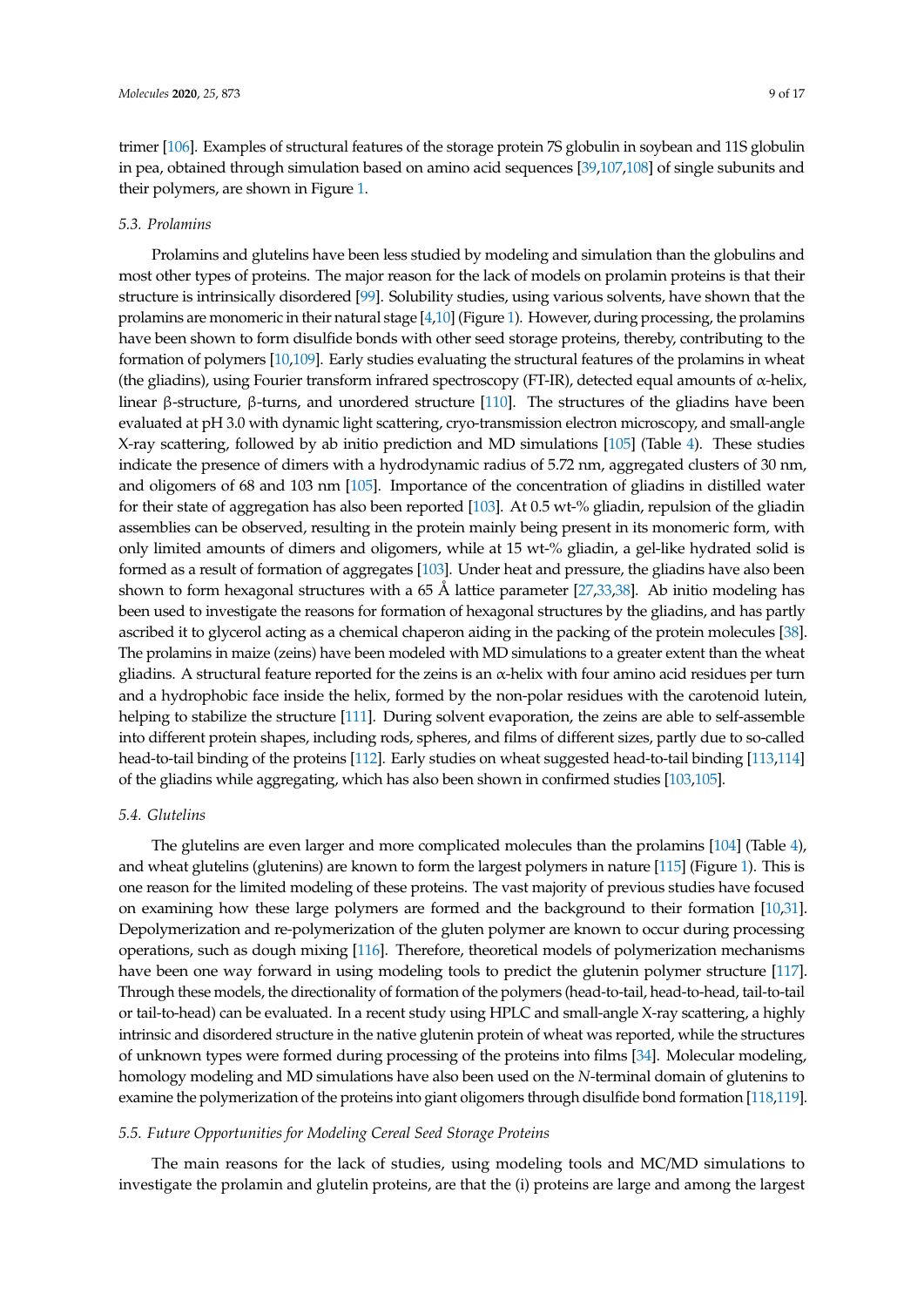trimer [\[106\]](#page-15-3). Examples of structural features of the storage protein 7S globulin in soybean and 11S globulin in pea, obtained through simulation based on amino acid sequences [\[39,](#page-12-4)[107,](#page-15-4)[108\]](#page-15-5) of single subunits and their polymers, are shown in Figure [1.](#page-9-0)

#### *5.3. Prolamins*

Prolamins and glutelins have been less studied by modeling and simulation than the globulins and most other types of proteins. The major reason for the lack of models on prolamin proteins is that their structure is intrinsically disordered [\[99\]](#page-14-12). Solubility studies, using various solvents, have shown that the prolamins are monomeric in their natural stage [\[4,](#page-10-3)[10\]](#page-10-7) (Figure [1\)](#page-9-0). However, during processing, the prolamins have been shown to form disulfide bonds with other seed storage proteins, thereby, contributing to the formation of polymers [\[10,](#page-10-7)[109\]](#page-15-6). Early studies evaluating the structural features of the prolamins in wheat (the gliadins), using Fourier transform infrared spectroscopy (FT-IR), detected equal amounts of α-helix, linear β-structure, β-turns, and unordered structure [\[110\]](#page-15-7). The structures of the gliadins have been evaluated at pH 3.0 with dynamic light scattering, cryo-transmission electron microscopy, and small-angle X-ray scattering, followed by ab initio prediction and MD simulations [\[105\]](#page-15-2) (Table [4\)](#page-7-0). These studies indicate the presence of dimers with a hydrodynamic radius of 5.72 nm, aggregated clusters of 30 nm, and oligomers of 68 and 103 nm [\[105\]](#page-15-2). Importance of the concentration of gliadins in distilled water for their state of aggregation has also been reported [\[103\]](#page-15-1). At 0.5 wt-% gliadin, repulsion of the gliadin assemblies can be observed, resulting in the protein mainly being present in its monomeric form, with only limited amounts of dimers and oligomers, while at 15 wt-% gliadin, a gel-like hydrated solid is formed as a result of formation of aggregates [\[103\]](#page-15-1). Under heat and pressure, the gliadins have also been shown to form hexagonal structures with a 65 Å lattice parameter [\[27](#page-11-14)[,33,](#page-11-13)[38\]](#page-12-3). Ab initio modeling has been used to investigate the reasons for formation of hexagonal structures by the gliadins, and has partly ascribed it to glycerol acting as a chemical chaperon aiding in the packing of the protein molecules [\[38\]](#page-12-3). The prolamins in maize (zeins) have been modeled with MD simulations to a greater extent than the wheat gliadins. A structural feature reported for the zeins is an α-helix with four amino acid residues per turn and a hydrophobic face inside the helix, formed by the non-polar residues with the carotenoid lutein, helping to stabilize the structure [\[111\]](#page-15-8). During solvent evaporation, the zeins are able to self-assemble into different protein shapes, including rods, spheres, and films of different sizes, partly due to so-called head-to-tail binding of the proteins [\[112\]](#page-15-9). Early studies on wheat suggested head-to-tail binding [\[113](#page-15-10)[,114\]](#page-15-11) of the gliadins while aggregating, which has also been shown in confirmed studies [\[103,](#page-15-1)[105\]](#page-15-2).

# *5.4. Glutelins*

The glutelins are even larger and more complicated molecules than the prolamins [\[104\]](#page-15-0) (Table [4\)](#page-7-0), and wheat glutelins (glutenins) are known to form the largest polymers in nature [\[115\]](#page-15-12) (Figure [1\)](#page-9-0). This is one reason for the limited modeling of these proteins. The vast majority of previous studies have focused on examining how these large polymers are formed and the background to their formation [\[10](#page-10-7)[,31\]](#page-11-12). Depolymerization and re-polymerization of the gluten polymer are known to occur during processing operations, such as dough mixing [\[116\]](#page-15-13). Therefore, theoretical models of polymerization mechanisms have been one way forward in using modeling tools to predict the glutenin polymer structure [\[117\]](#page-15-14). Through these models, the directionality of formation of the polymers (head-to-tail, head-to-head, tail-to-tail or tail-to-head) can be evaluated. In a recent study using HPLC and small-angle X-ray scattering, a highly intrinsic and disordered structure in the native glutenin protein of wheat was reported, while the structures of unknown types were formed during processing of the proteins into films [\[34\]](#page-12-0). Molecular modeling, homology modeling and MD simulations have also been used on the *N*-terminal domain of glutenins to examine the polymerization of the proteins into giant oligomers through disulfide bond formation [\[118](#page-15-15)[,119\]](#page-15-16).

#### *5.5. Future Opportunities for Modeling Cereal Seed Storage Proteins*

The main reasons for the lack of studies, using modeling tools and MC/MD simulations to investigate the prolamin and glutelin proteins, are that the (i) proteins are large and among the largest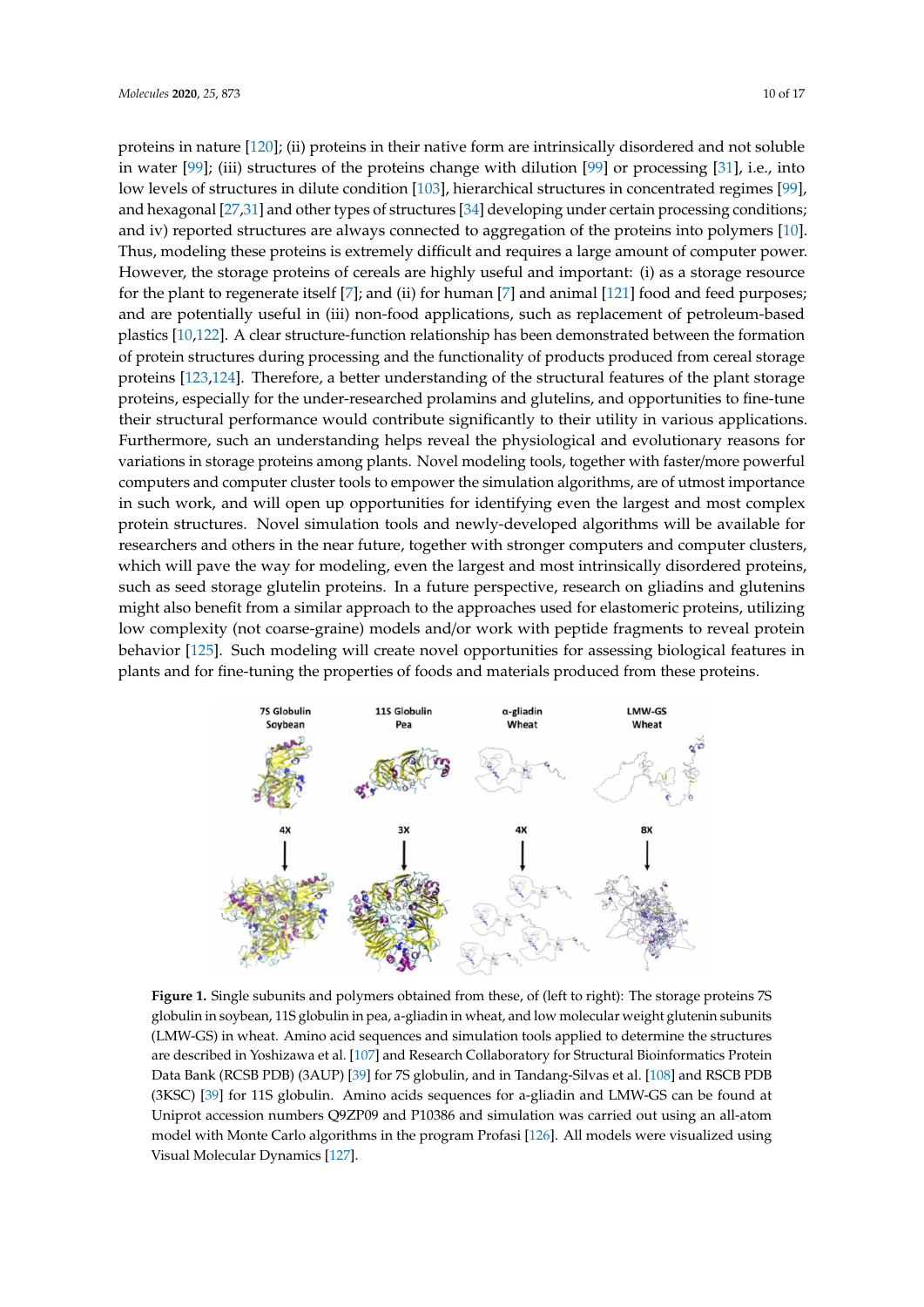proteins in nature [\[120\]](#page-15-17); (ii) proteins in their native form are intrinsically disordered and not soluble *Molecules* **2020**, *25*, x 10 of 17 in water [\[99\]](#page-14-12); (iii) structures of the proteins change with dilution [\[99\]](#page-14-12) or processing [\[31\]](#page-11-12), i.e., into low levels of structures in dilute condition [\[103\]](#page-15-1), hierarchical structures in concentrated regimes [\[99\]](#page-14-12), and hexagonal [\[27,](#page-11-14)[31\]](#page-11-12) and other types of structures [\[34\]](#page-12-0) developing under certain processing conditions; and iv) reported structures are always connected to aggregation of the proteins into polymers [\[10\]](#page-10-7). Thus, modeling these proteins is extremely difficult and requires a large amount of computer power. However, the storage proteins of cereals are highly useful and important: (i) as a storage resource for the plant to regenerate itself [\[7\]](#page-10-6); and (ii) for human [7] and animal [\[121\]](#page-15-18) food and feed purposes; and are potentially useful in (iii) non-food applications, such as replacement of petroleum-based plastics [\[10,](#page-10-7)[122\]](#page-16-0). A clear structure-function relationship has been demonstrated between the formation of protein structures during processing and the functionality of products produced from cereal storage proteins [\[123](#page-16-1)[,124\]](#page-16-2). Therefore, a better understanding of the structural features of the plant storage -<br>proteins, especially for the under-researched prolamins and glutelins, and opportunities to fine-tune proteins, to protein growing the time received proteins and generally the opposite of the time theories of the<br>their structural performance would contribute significantly to their utility in various applications. Furthermore, such an understanding helps reveal the physiological and evolutionary reasons for variations in storage proteins among plants. Novel modeling tools, together with faster/more powerful computers and computer cluster tools to empower the simulation algorithms, are of utmost importance in such work, and will open up opportunities for identifying even the largest and most complex in such work, and will open up opportunities for identifying even the largest and most complex protein structures. Novel simulation tools and newly-developed algorithms will be available for researchers and others in the near future, together with stronger computers and computer clusters, which will pave the way for modeling, even the largest and most intrinsically disordered proteins, such as seed storage glutelin proteins. In a future perspective, research on gliadins and glutenins such as seed storage glutelin proteins. In a future perspective, research on gliadins and glutenins might also benefit from a similar approach to the approaches used for elastomeric proteins, utilizing low complexity (not coarse-graine) models and/or work with peptide fragments to reveal protein behavior [\[125\]](#page-16-3). Such modeling will create novel opportunities for assessing biological features in plants and for fine-tuning the properties of foods and materials produced from these proteins. ientig these proteins is extremely unfictul and requires a large amount of compu  $H_{\nu}$ Eq. A creat structure-function relationship has been demonstrated between the  $\alpha$  $\alpha$  and  $\beta$  are formulate vector understanding of the structures of the plant structures of the plant storage storage storage storage storage storage storage storage storage storage storage storage storage storage stora powerful computer to compute the computation computer the singlest and most ed storage glutellit proteins. In a future perspective, research on gliadins and produced the property of the property  $\mu$ 

<span id="page-9-0"></span>

**Figure 1.** Single subunits and polymers obtained from these, of (left to right): The storage proteins 7S **Figure 1.** Single subunits and polymers obtained from these, of (left to right): The storage proteins 7S globulin in soybean, 11S globulin in pea, a-gliadin in wheat, and low molecular weight glutenin globulin in soybean, 11S globulin in pea, a-gliadin in wheat, and low molecular weight glutenin subunits  $\Omega$  in wheat. Amino acid sequences and simulation tools applied to determine the  $\Omega$ (LMW-GS) in wheat. Amino acid sequences and simulation tools applied to determine the structures are described in Yoshizawa et al. [\[107\]](#page-15-4) and Research Collaboratory for Structural Bioinformatics Protein Data Bank (RCSB PDB) (3AUP) [\[39\]](#page-12-4) for 7S globulin, and in Tandang-Silvas et al. [\[108\]](#page-15-5) and RSCB PDB (3KSC) [\[39\]](#page-12-4) for 11S globulin. Amino acids sequences for a-gliadin and LMW-GS can be found at Uniprot accession numbers Q9ZP09 and P10386 and simulation was carried out using an all-atom model with Monte Carlo algorithms in the program Profasi [\[126\]](#page-16-4). All models were visualized using Visual Molecular Dynamics [\[127\]](#page-16-5).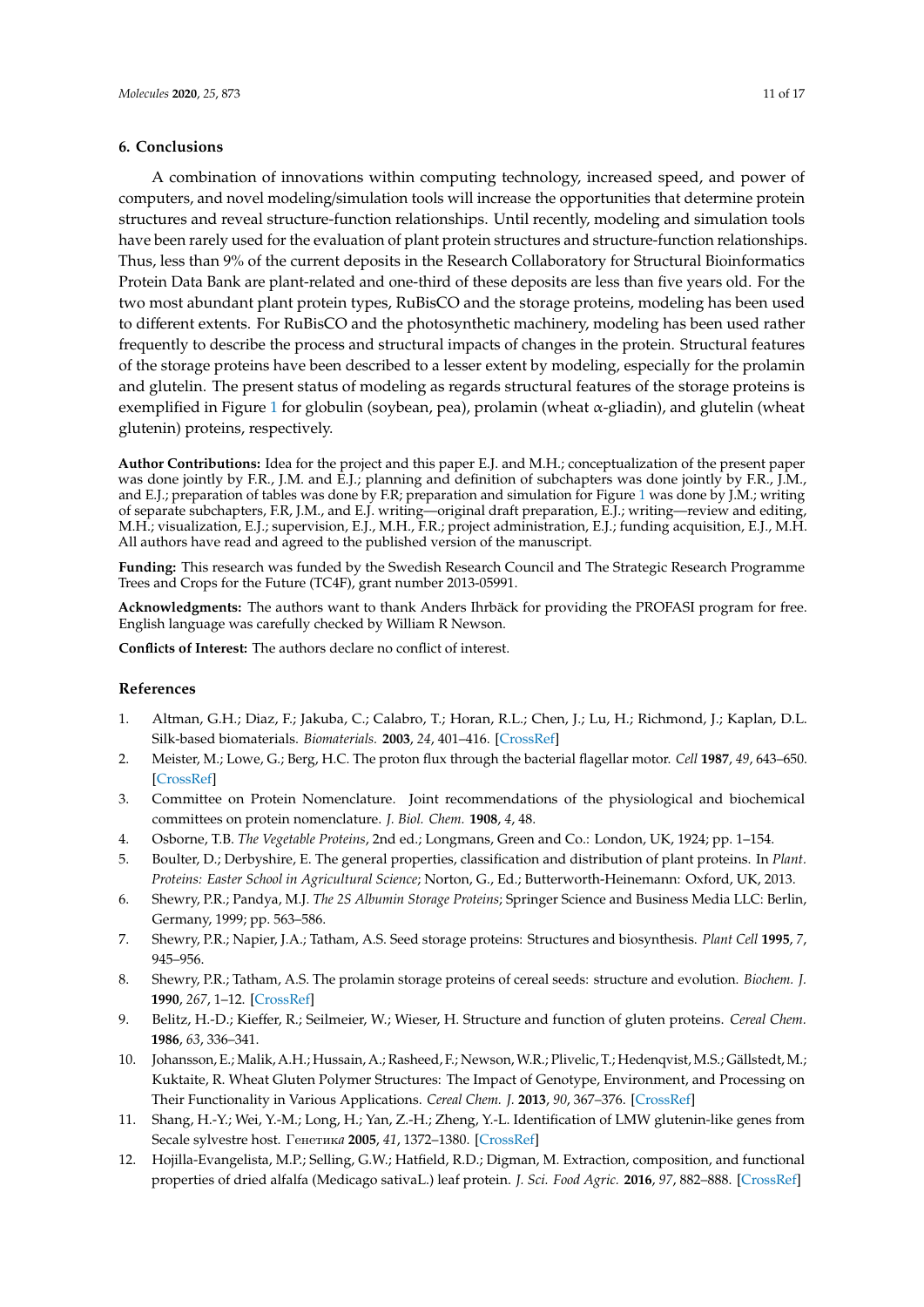# **6. Conclusions**

A combination of innovations within computing technology, increased speed, and power of computers, and novel modeling/simulation tools will increase the opportunities that determine protein structures and reveal structure-function relationships. Until recently, modeling and simulation tools have been rarely used for the evaluation of plant protein structures and structure-function relationships. Thus, less than 9% of the current deposits in the Research Collaboratory for Structural Bioinformatics Protein Data Bank are plant-related and one-third of these deposits are less than five years old. For the two most abundant plant protein types, RuBisCO and the storage proteins, modeling has been used to different extents. For RuBisCO and the photosynthetic machinery, modeling has been used rather frequently to describe the process and structural impacts of changes in the protein. Structural features of the storage proteins have been described to a lesser extent by modeling, especially for the prolamin and glutelin. The present status of modeling as regards structural features of the storage proteins is exemplified in Figure [1](#page-9-0) for globulin (soybean, pea), prolamin (wheat α-gliadin), and glutelin (wheat glutenin) proteins, respectively.

**Author Contributions:** Idea for the project and this paper E.J. and M.H.; conceptualization of the present paper was done jointly by F.R., J.M. and E.J.; planning and definition of subchapters was done jointly by F.R., J.M., and E.J.; preparation of tables was done by F.R; preparation and simulation for Figure [1](#page-9-0) was done by J.M.; writing of separate subchapters, F.R, J.M., and E.J. writing—original draft preparation, E.J.; writing—review and editing, M.H.; visualization, E.J.; supervision, E.J., M.H., F.R.; project administration, E.J.; funding acquisition, E.J., M.H. All authors have read and agreed to the published version of the manuscript.

**Funding:** This research was funded by the Swedish Research Council and The Strategic Research Programme Trees and Crops for the Future (TC4F), grant number 2013-05991.

**Acknowledgments:** The authors want to thank Anders Ihrbäck for providing the PROFASI program for free. English language was carefully checked by William R Newson.

**Conflicts of Interest:** The authors declare no conflict of interest.

# **References**

- <span id="page-10-0"></span>1. Altman, G.H.; Diaz, F.; Jakuba, C.; Calabro, T.; Horan, R.L.; Chen, J.; Lu, H.; Richmond, J.; Kaplan, D.L. Silk-based biomaterials. *Biomaterials.* **2003**, *24*, 401–416. [\[CrossRef\]](http://dx.doi.org/10.1016/S0142-9612(02)00353-8)
- <span id="page-10-1"></span>2. Meister, M.; Lowe, G.; Berg, H.C. The proton flux through the bacterial flagellar motor. *Cell* **1987**, *49*, 643–650. [\[CrossRef\]](http://dx.doi.org/10.1016/0092-8674(87)90540-X)
- <span id="page-10-2"></span>3. Committee on Protein Nomenclature. Joint recommendations of the physiological and biochemical committees on protein nomenclature. *J. Biol. Chem.* **1908**, *4*, 48.
- <span id="page-10-3"></span>4. Osborne, T.B. *The Vegetable Proteins*, 2nd ed.; Longmans, Green and Co.: London, UK, 1924; pp. 1–154.
- <span id="page-10-4"></span>5. Boulter, D.; Derbyshire, E. The general properties, classification and distribution of plant proteins. In *Plant. Proteins: Easter School in Agricultural Science*; Norton, G., Ed.; Butterworth-Heinemann: Oxford, UK, 2013.
- <span id="page-10-5"></span>6. Shewry, P.R.; Pandya, M.J. *The 2S Albumin Storage Proteins*; Springer Science and Business Media LLC: Berlin, Germany, 1999; pp. 563–586.
- <span id="page-10-6"></span>7. Shewry, P.R.; Napier, J.A.; Tatham, A.S. Seed storage proteins: Structures and biosynthesis. *Plant Cell* **1995**, *7*, 945–956.
- <span id="page-10-10"></span>8. Shewry, P.R.; Tatham, A.S. The prolamin storage proteins of cereal seeds: structure and evolution. *Biochem. J.* **1990**, *267*, 1–12. [\[CrossRef\]](http://dx.doi.org/10.1042/bj2670001)
- <span id="page-10-11"></span>9. Belitz, H.-D.; Kieffer, R.; Seilmeier, W.; Wieser, H. Structure and function of gluten proteins. *Cereal Chem.* **1986**, *63*, 336–341.
- <span id="page-10-7"></span>10. Johansson, E.; Malik, A.H.; Hussain, A.; Rasheed, F.; Newson,W.R.; Plivelic, T.; Hedenqvist, M.S.; Gällstedt, M.; Kuktaite, R. Wheat Gluten Polymer Structures: The Impact of Genotype, Environment, and Processing on Their Functionality in Various Applications. *Cereal Chem. J.* **2013**, *90*, 367–376. [\[CrossRef\]](http://dx.doi.org/10.1094/CCHEM-08-12-0105-FI)
- <span id="page-10-8"></span>11. Shang, H.-Y.; Wei, Y.-M.; Long, H.; Yan, Z.-H.; Zheng, Y.-L. Identification of LMW glutenin-like genes from Secale sylvestre host. Генетик*a* **2005**, *41*, 1372–1380. [\[CrossRef\]](http://dx.doi.org/10.1007/s11177-006-0009-4)
- <span id="page-10-9"></span>12. Hojilla-Evangelista, M.P.; Selling, G.W.; Hatfield, R.D.; Digman, M. Extraction, composition, and functional properties of dried alfalfa (Medicago sativaL.) leaf protein. *J. Sci. Food Agric.* **2016**, *97*, 882–888. [\[CrossRef\]](http://dx.doi.org/10.1002/jsfa.7810)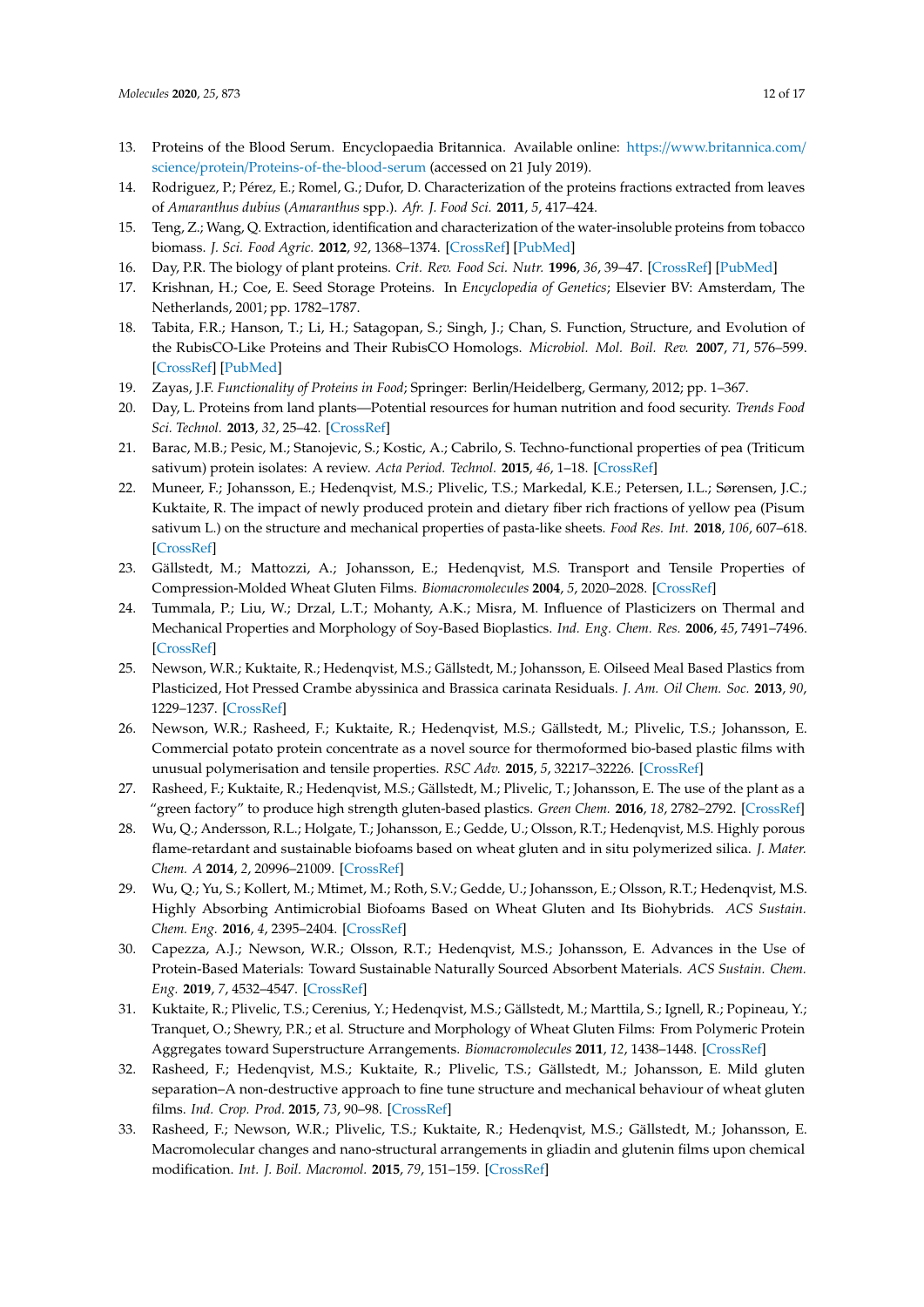- <span id="page-11-0"></span>13. Proteins of the Blood Serum. Encyclopaedia Britannica. Available online: https://[www.britannica.com](https://www.britannica.com/science/protein/Proteins-of-the-blood-serum)/ science/protein/[Proteins-of-the-blood-serum](https://www.britannica.com/science/protein/Proteins-of-the-blood-serum) (accessed on 21 July 2019).
- <span id="page-11-1"></span>14. Rodriguez, P.; Pérez, E.; Romel, G.; Dufor, D. Characterization of the proteins fractions extracted from leaves of *Amaranthus dubius* (*Amaranthus* spp.). *Afr. J. Food Sci.* **2011**, *5*, 417–424.
- <span id="page-11-2"></span>15. Teng, Z.; Wang, Q. Extraction, identification and characterization of the water-insoluble proteins from tobacco biomass. *J. Sci. Food Agric.* **2012**, *92*, 1368–1374. [\[CrossRef\]](http://dx.doi.org/10.1002/jsfa.4708) [\[PubMed\]](http://www.ncbi.nlm.nih.gov/pubmed/22083595)
- <span id="page-11-3"></span>16. Day, P.R. The biology of plant proteins. *Crit. Rev. Food Sci. Nutr.* **1996**, *36*, 39–47. [\[CrossRef\]](http://dx.doi.org/10.1080/10408399609527758) [\[PubMed\]](http://www.ncbi.nlm.nih.gov/pubmed/8959377)
- <span id="page-11-4"></span>17. Krishnan, H.; Coe, E. Seed Storage Proteins. In *Encyclopedia of Genetics*; Elsevier BV: Amsterdam, The Netherlands, 2001; pp. 1782–1787.
- <span id="page-11-5"></span>18. Tabita, F.R.; Hanson, T.; Li, H.; Satagopan, S.; Singh, J.; Chan, S. Function, Structure, and Evolution of the RubisCO-Like Proteins and Their RubisCO Homologs. *Microbiol. Mol. Boil. Rev.* **2007**, *71*, 576–599. [\[CrossRef\]](http://dx.doi.org/10.1128/MMBR.00015-07) [\[PubMed\]](http://www.ncbi.nlm.nih.gov/pubmed/18063718)
- <span id="page-11-6"></span>19. Zayas, J.F. *Functionality of Proteins in Food*; Springer: Berlin/Heidelberg, Germany, 2012; pp. 1–367.
- <span id="page-11-9"></span>20. Day, L. Proteins from land plants—Potential resources for human nutrition and food security. *Trends Food Sci. Technol.* **2013**, *32*, 25–42. [\[CrossRef\]](http://dx.doi.org/10.1016/j.tifs.2013.05.005)
- <span id="page-11-10"></span>21. Barac, M.B.; Pesic, M.; Stanojevic, S.; Kostic, A.; Cabrilo, S. Techno-functional properties of pea (Triticum sativum) protein isolates: A review. *Acta Period. Technol.* **2015**, *46*, 1–18. [\[CrossRef\]](http://dx.doi.org/10.2298/APT1546001B)
- <span id="page-11-7"></span>22. Muneer, F.; Johansson, E.; Hedenqvist, M.S.; Plivelic, T.S.; Markedal, K.E.; Petersen, I.L.; Sørensen, J.C.; Kuktaite, R. The impact of newly produced protein and dietary fiber rich fractions of yellow pea (Pisum sativum L.) on the structure and mechanical properties of pasta-like sheets. *Food Res. Int.* **2018**, *106*, 607–618. [\[CrossRef\]](http://dx.doi.org/10.1016/j.foodres.2018.01.020)
- <span id="page-11-8"></span>23. Gällstedt, M.; Mattozzi, A.; Johansson, E.; Hedenqvist, M.S. Transport and Tensile Properties of Compression-Molded Wheat Gluten Films. *Biomacromolecules* **2004**, *5*, 2020–2028. [\[CrossRef\]](http://dx.doi.org/10.1021/bm040044q)
- 24. Tummala, P.; Liu, W.; Drzal, L.T.; Mohanty, A.K.; Misra, M. Influence of Plasticizers on Thermal and Mechanical Properties and Morphology of Soy-Based Bioplastics. *Ind. Eng. Chem. Res.* **2006**, *45*, 7491–7496. [\[CrossRef\]](http://dx.doi.org/10.1021/ie060439l)
- 25. Newson, W.R.; Kuktaite, R.; Hedenqvist, M.S.; Gällstedt, M.; Johansson, E. Oilseed Meal Based Plastics from Plasticized, Hot Pressed Crambe abyssinica and Brassica carinata Residuals. *J. Am. Oil Chem. Soc.* **2013**, *90*, 1229–1237. [\[CrossRef\]](http://dx.doi.org/10.1007/s11746-013-2261-9)
- 26. Newson, W.R.; Rasheed, F.; Kuktaite, R.; Hedenqvist, M.S.; Gällstedt, M.; Plivelic, T.S.; Johansson, E. Commercial potato protein concentrate as a novel source for thermoformed bio-based plastic films with unusual polymerisation and tensile properties. *RSC Adv.* **2015**, *5*, 32217–32226. [\[CrossRef\]](http://dx.doi.org/10.1039/C5RA00662G)
- <span id="page-11-14"></span>27. Rasheed, F.; Kuktaite, R.; Hedenqvist, M.S.; Gällstedt, M.; Plivelic, T.; Johansson, E. The use of the plant as a "green factory" to produce high strength gluten-based plastics. *Green Chem.* **2016**, *18*, 2782–2792. [\[CrossRef\]](http://dx.doi.org/10.1039/C5GC03111G)
- 28. Wu, Q.; Andersson, R.L.; Holgate, T.; Johansson, E.; Gedde, U.; Olsson, R.T.; Hedenqvist, M.S. Highly porous flame-retardant and sustainable biofoams based on wheat gluten and in situ polymerized silica. *J. Mater. Chem. A* **2014**, *2*, 20996–21009. [\[CrossRef\]](http://dx.doi.org/10.1039/C4TA04787G)
- 29. Wu, Q.; Yu, S.; Kollert, M.; Mtimet, M.; Roth, S.V.; Gedde, U.; Johansson, E.; Olsson, R.T.; Hedenqvist, M.S. Highly Absorbing Antimicrobial Biofoams Based on Wheat Gluten and Its Biohybrids. *ACS Sustain. Chem. Eng.* **2016**, *4*, 2395–2404. [\[CrossRef\]](http://dx.doi.org/10.1021/acssuschemeng.6b00099)
- <span id="page-11-11"></span>30. Capezza, A.J.; Newson, W.R.; Olsson, R.T.; Hedenqvist, M.S.; Johansson, E. Advances in the Use of Protein-Based Materials: Toward Sustainable Naturally Sourced Absorbent Materials. *ACS Sustain. Chem. Eng.* **2019**, *7*, 4532–4547. [\[CrossRef\]](http://dx.doi.org/10.1021/acssuschemeng.8b05400)
- <span id="page-11-12"></span>31. Kuktaite, R.; Plivelic, T.S.; Cerenius, Y.; Hedenqvist, M.S.; Gällstedt, M.; Marttila, S.; Ignell, R.; Popineau, Y.; Tranquet, O.; Shewry, P.R.; et al. Structure and Morphology of Wheat Gluten Films: From Polymeric Protein Aggregates toward Superstructure Arrangements. *Biomacromolecules* **2011**, *12*, 1438–1448. [\[CrossRef\]](http://dx.doi.org/10.1021/bm200009h)
- 32. Rasheed, F.; Hedenqvist, M.S.; Kuktaite, R.; Plivelic, T.S.; Gällstedt, M.; Johansson, E. Mild gluten separation–A non-destructive approach to fine tune structure and mechanical behaviour of wheat gluten films. *Ind. Crop. Prod.* **2015**, *73*, 90–98. [\[CrossRef\]](http://dx.doi.org/10.1016/j.indcrop.2015.04.007)
- <span id="page-11-13"></span>33. Rasheed, F.; Newson, W.R.; Plivelic, T.S.; Kuktaite, R.; Hedenqvist, M.S.; Gällstedt, M.; Johansson, E. Macromolecular changes and nano-structural arrangements in gliadin and glutenin films upon chemical modification. *Int. J. Boil. Macromol.* **2015**, *79*, 151–159. [\[CrossRef\]](http://dx.doi.org/10.1016/j.ijbiomac.2015.04.033)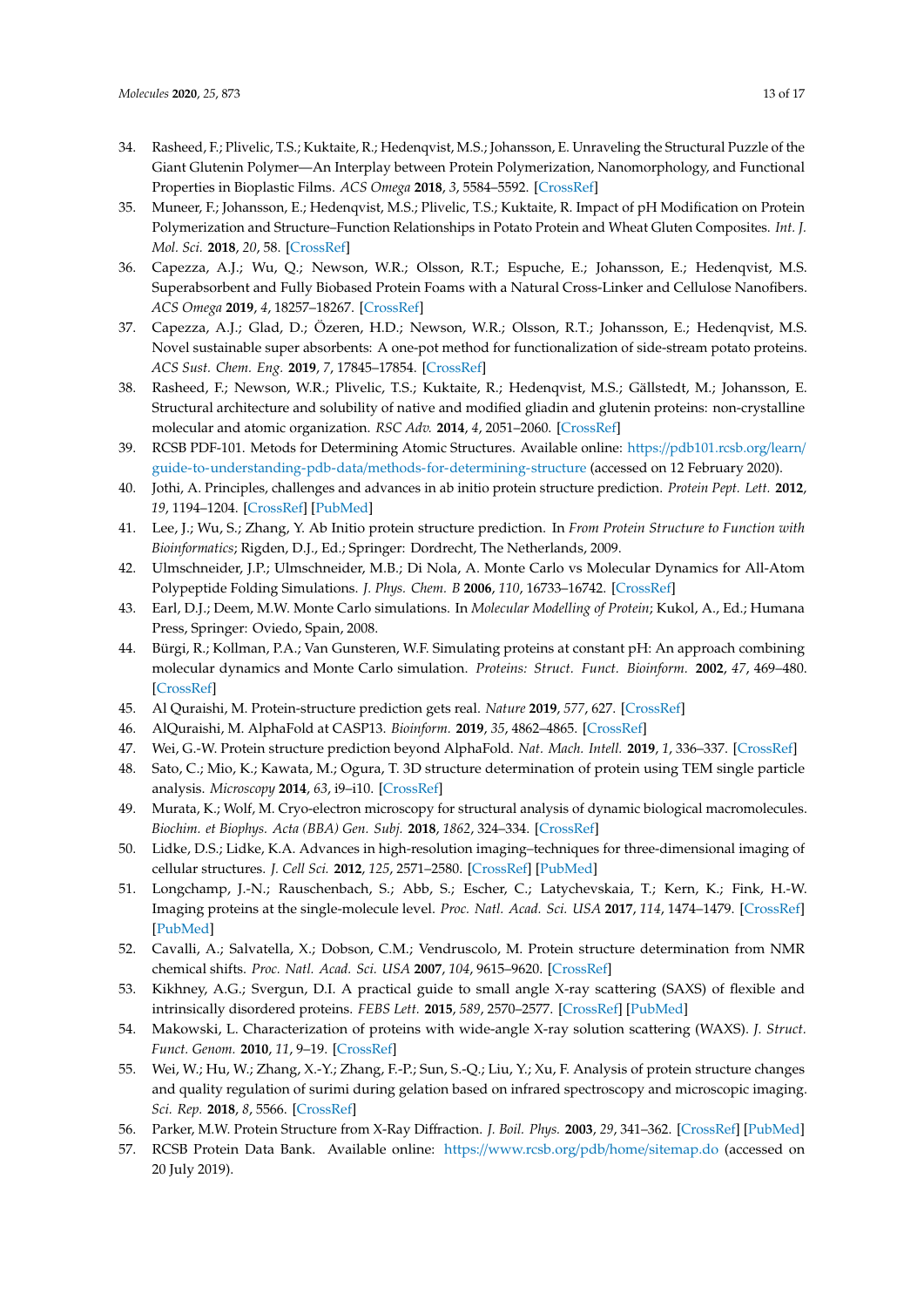- <span id="page-12-0"></span>34. Rasheed, F.; Plivelic, T.S.; Kuktaite, R.; Hedenqvist, M.S.; Johansson, E. Unraveling the Structural Puzzle of the Giant Glutenin Polymer—An Interplay between Protein Polymerization, Nanomorphology, and Functional Properties in Bioplastic Films. *ACS Omega* **2018**, *3*, 5584–5592. [\[CrossRef\]](http://dx.doi.org/10.1021/acsomega.7b02081)
- <span id="page-12-1"></span>35. Muneer, F.; Johansson, E.; Hedenqvist, M.S.; Plivelic, T.S.; Kuktaite, R. Impact of pH Modification on Protein Polymerization and Structure–Function Relationships in Potato Protein and Wheat Gluten Composites. *Int. J. Mol. Sci.* **2018**, *20*, 58. [\[CrossRef\]](http://dx.doi.org/10.3390/ijms20010058)
- 36. Capezza, A.J.; Wu, Q.; Newson, W.R.; Olsson, R.T.; Espuche, E.; Johansson, E.; Hedenqvist, M.S. Superabsorbent and Fully Biobased Protein Foams with a Natural Cross-Linker and Cellulose Nanofibers. *ACS Omega* **2019**, *4*, 18257–18267. [\[CrossRef\]](http://dx.doi.org/10.1021/acsomega.9b02271)
- <span id="page-12-2"></span>37. Capezza, A.J.; Glad, D.; Özeren, H.D.; Newson, W.R.; Olsson, R.T.; Johansson, E.; Hedenqvist, M.S. Novel sustainable super absorbents: A one-pot method for functionalization of side-stream potato proteins. *ACS Sust. Chem. Eng.* **2019**, *7*, 17845–17854. [\[CrossRef\]](http://dx.doi.org/10.1021/acssuschemeng.9b04352)
- <span id="page-12-3"></span>38. Rasheed, F.; Newson, W.R.; Plivelic, T.S.; Kuktaite, R.; Hedenqvist, M.S.; Gällstedt, M.; Johansson, E. Structural architecture and solubility of native and modified gliadin and glutenin proteins: non-crystalline molecular and atomic organization. *RSC Adv.* **2014**, *4*, 2051–2060. [\[CrossRef\]](http://dx.doi.org/10.1039/C3RA45522J)
- <span id="page-12-4"></span>39. RCSB PDF-101. Metods for Determining Atomic Structures. Available online: https://[pdb101.rcsb.org](https://pdb101.rcsb.org/learn/guide-to-understanding-pdb-data/methods-for-determining-structure)/learn/ guide-to-understanding-pdb-data/[methods-for-determining-structure](https://pdb101.rcsb.org/learn/guide-to-understanding-pdb-data/methods-for-determining-structure) (accessed on 12 February 2020).
- <span id="page-12-5"></span>40. Jothi, A. Principles, challenges and advances in ab initio protein structure prediction. *Protein Pept. Lett.* **2012**, *19*, 1194–1204. [\[CrossRef\]](http://dx.doi.org/10.2174/092986612803217015) [\[PubMed\]](http://www.ncbi.nlm.nih.gov/pubmed/22587787)
- <span id="page-12-6"></span>41. Lee, J.; Wu, S.; Zhang, Y. Ab Initio protein structure prediction. In *From Protein Structure to Function with Bioinformatics*; Rigden, D.J., Ed.; Springer: Dordrecht, The Netherlands, 2009.
- <span id="page-12-7"></span>42. Ulmschneider, J.P.; Ulmschneider, M.B.; Di Nola, A. Monte Carlo vs Molecular Dynamics for All-Atom Polypeptide Folding Simulations. *J. Phys. Chem. B* **2006**, *110*, 16733–16742. [\[CrossRef\]](http://dx.doi.org/10.1021/jp061619b)
- <span id="page-12-8"></span>43. Earl, D.J.; Deem, M.W. Monte Carlo simulations. In *Molecular Modelling of Protein*; Kukol, A., Ed.; Humana Press, Springer: Oviedo, Spain, 2008.
- <span id="page-12-9"></span>44. Bürgi, R.; Kollman, P.A.; Van Gunsteren, W.F. Simulating proteins at constant pH: An approach combining molecular dynamics and Monte Carlo simulation. *Proteins: Struct. Funct. Bioinform.* **2002**, *47*, 469–480. [\[CrossRef\]](http://dx.doi.org/10.1002/prot.10046)
- <span id="page-12-10"></span>45. Al Quraishi, M. Protein-structure prediction gets real. *Nature* **2019**, *577*, 627. [\[CrossRef\]](http://dx.doi.org/10.1038/d41586-019-03951-0)
- <span id="page-12-11"></span>46. AlQuraishi, M. AlphaFold at CASP13. *Bioinform.* **2019**, *35*, 4862–4865. [\[CrossRef\]](http://dx.doi.org/10.1093/bioinformatics/btz422)
- <span id="page-12-12"></span>47. Wei, G.-W. Protein structure prediction beyond AlphaFold. *Nat. Mach. Intell.* **2019**, *1*, 336–337. [\[CrossRef\]](http://dx.doi.org/10.1038/s42256-019-0086-4)
- <span id="page-12-13"></span>48. Sato, C.; Mio, K.; Kawata, M.; Ogura, T. 3D structure determination of protein using TEM single particle analysis. *Microscopy* **2014**, *63*, i9–i10. [\[CrossRef\]](http://dx.doi.org/10.1093/jmicro/dfu074)
- <span id="page-12-14"></span>49. Murata, K.; Wolf, M. Cryo-electron microscopy for structural analysis of dynamic biological macromolecules. *Biochim. et Biophys. Acta (BBA) Gen. Subj.* **2018**, *1862*, 324–334. [\[CrossRef\]](http://dx.doi.org/10.1016/j.bbagen.2017.07.020)
- <span id="page-12-15"></span>50. Lidke, D.S.; Lidke, K.A. Advances in high-resolution imaging–techniques for three-dimensional imaging of cellular structures. *J. Cell Sci.* **2012**, *125*, 2571–2580. [\[CrossRef\]](http://dx.doi.org/10.1242/jcs.090027) [\[PubMed\]](http://www.ncbi.nlm.nih.gov/pubmed/22685332)
- <span id="page-12-16"></span>51. Longchamp, J.-N.; Rauschenbach, S.; Abb, S.; Escher, C.; Latychevskaia, T.; Kern, K.; Fink, H.-W. Imaging proteins at the single-molecule level. *Proc. Natl. Acad. Sci. USA* **2017**, *114*, 1474–1479. [\[CrossRef\]](http://dx.doi.org/10.1073/pnas.1614519114) [\[PubMed\]](http://www.ncbi.nlm.nih.gov/pubmed/28087691)
- <span id="page-12-17"></span>52. Cavalli, A.; Salvatella, X.; Dobson, C.M.; Vendruscolo, M. Protein structure determination from NMR chemical shifts. *Proc. Natl. Acad. Sci. USA* **2007**, *104*, 9615–9620. [\[CrossRef\]](http://dx.doi.org/10.1073/pnas.0610313104)
- <span id="page-12-18"></span>53. Kikhney, A.G.; Svergun, D.I. A practical guide to small angle X-ray scattering (SAXS) of flexible and intrinsically disordered proteins. *FEBS Lett.* **2015**, *589*, 2570–2577. [\[CrossRef\]](http://dx.doi.org/10.1016/j.febslet.2015.08.027) [\[PubMed\]](http://www.ncbi.nlm.nih.gov/pubmed/26320411)
- <span id="page-12-19"></span>54. Makowski, L. Characterization of proteins with wide-angle X-ray solution scattering (WAXS). *J. Struct. Funct. Genom.* **2010**, *11*, 9–19. [\[CrossRef\]](http://dx.doi.org/10.1007/s10969-009-9075-x)
- <span id="page-12-20"></span>55. Wei, W.; Hu, W.; Zhang, X.-Y.; Zhang, F.-P.; Sun, S.-Q.; Liu, Y.; Xu, F. Analysis of protein structure changes and quality regulation of surimi during gelation based on infrared spectroscopy and microscopic imaging. *Sci. Rep.* **2018**, *8*, 5566. [\[CrossRef\]](http://dx.doi.org/10.1038/s41598-018-23645-3)
- <span id="page-12-21"></span>56. Parker, M.W. Protein Structure from X-Ray Diffraction. *J. Boil. Phys.* **2003**, *29*, 341–362. [\[CrossRef\]](http://dx.doi.org/10.1023/A:1027310719146) [\[PubMed\]](http://www.ncbi.nlm.nih.gov/pubmed/23345855)
- <span id="page-12-22"></span>57. RCSB Protein Data Bank. Available online: https://[www.rcsb.org](https://www.rcsb.org/pdb/home/sitemap.do)/pdb/home/sitemap.do (accessed on 20 July 2019).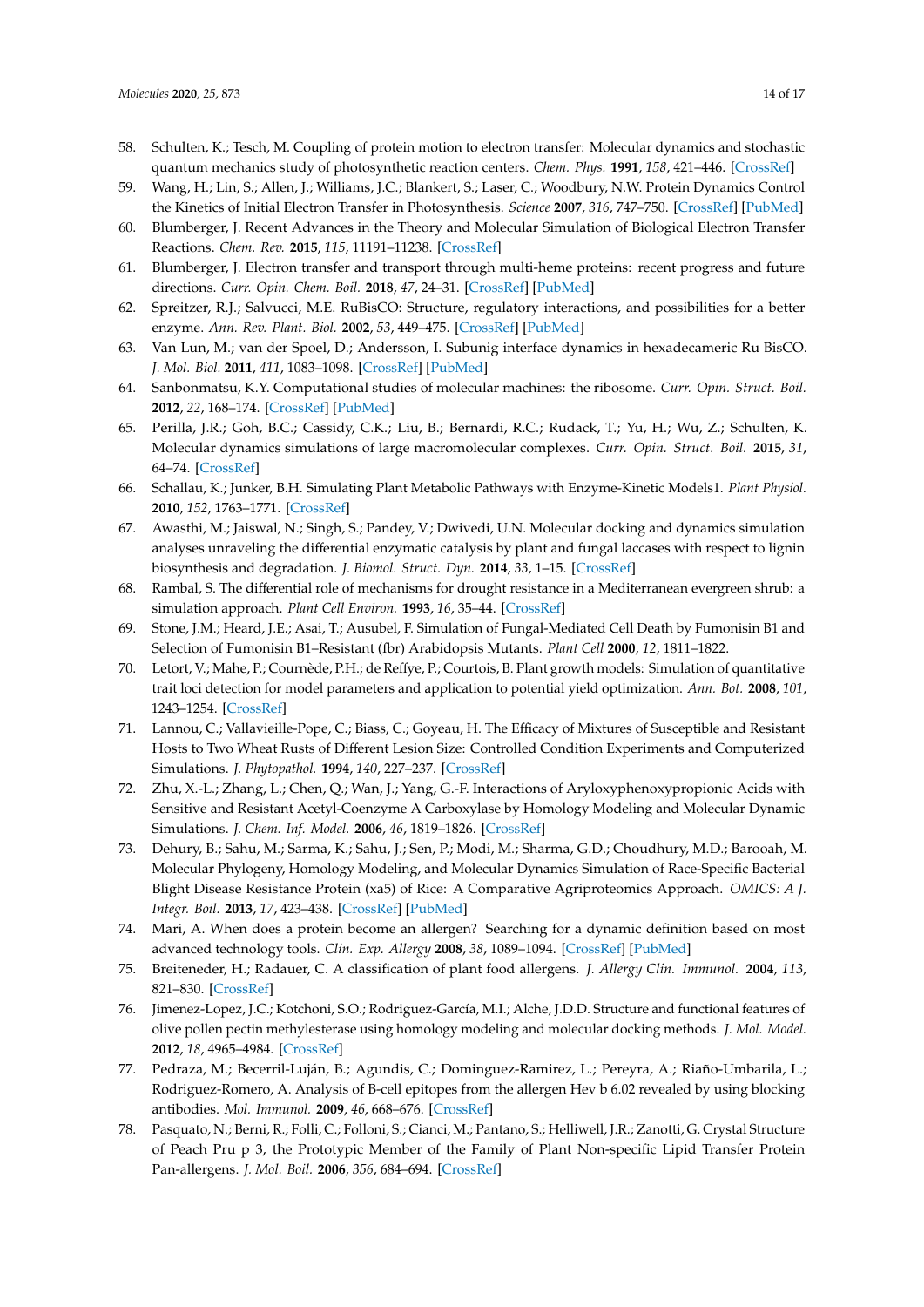- <span id="page-13-0"></span>58. Schulten, K.; Tesch, M. Coupling of protein motion to electron transfer: Molecular dynamics and stochastic quantum mechanics study of photosynthetic reaction centers. *Chem. Phys.* **1991**, *158*, 421–446. [\[CrossRef\]](http://dx.doi.org/10.1016/0301-0104(91)87081-6)
- <span id="page-13-1"></span>59. Wang, H.; Lin, S.; Allen, J.; Williams, J.C.; Blankert, S.; Laser, C.; Woodbury, N.W. Protein Dynamics Control the Kinetics of Initial Electron Transfer in Photosynthesis. *Science* **2007**, *316*, 747–750. [\[CrossRef\]](http://dx.doi.org/10.1126/science.1140030) [\[PubMed\]](http://www.ncbi.nlm.nih.gov/pubmed/17478721)
- <span id="page-13-2"></span>60. Blumberger, J. Recent Advances in the Theory and Molecular Simulation of Biological Electron Transfer Reactions. *Chem. Rev.* **2015**, *115*, 11191–11238. [\[CrossRef\]](http://dx.doi.org/10.1021/acs.chemrev.5b00298)
- <span id="page-13-3"></span>61. Blumberger, J. Electron transfer and transport through multi-heme proteins: recent progress and future directions. *Curr. Opin. Chem. Boil.* **2018**, *47*, 24–31. [\[CrossRef\]](http://dx.doi.org/10.1016/j.cbpa.2018.06.021) [\[PubMed\]](http://www.ncbi.nlm.nih.gov/pubmed/30015233)
- <span id="page-13-4"></span>62. Spreitzer, R.J.; Salvucci, M.E. RuBisCO: Structure, regulatory interactions, and possibilities for a better enzyme. *Ann. Rev. Plant. Biol.* **2002**, *53*, 449–475. [\[CrossRef\]](http://dx.doi.org/10.1146/annurev.arplant.53.100301.135233) [\[PubMed\]](http://www.ncbi.nlm.nih.gov/pubmed/12221984)
- <span id="page-13-5"></span>63. Van Lun, M.; van der Spoel, D.; Andersson, I. Subunig interface dynamics in hexadecameric Ru BisCO. *J. Mol. Biol.* **2011**, *411*, 1083–1098. [\[CrossRef\]](http://dx.doi.org/10.1016/j.jmb.2011.06.052) [\[PubMed\]](http://www.ncbi.nlm.nih.gov/pubmed/21745478)
- <span id="page-13-6"></span>64. Sanbonmatsu, K.Y. Computational studies of molecular machines: the ribosome. *Curr. Opin. Struct. Boil.* **2012**, *22*, 168–174. [\[CrossRef\]](http://dx.doi.org/10.1016/j.sbi.2012.01.008) [\[PubMed\]](http://www.ncbi.nlm.nih.gov/pubmed/22336622)
- <span id="page-13-7"></span>65. Perilla, J.R.; Goh, B.C.; Cassidy, C.K.; Liu, B.; Bernardi, R.C.; Rudack, T.; Yu, H.; Wu, Z.; Schulten, K. Molecular dynamics simulations of large macromolecular complexes. *Curr. Opin. Struct. Boil.* **2015**, *31*, 64–74. [\[CrossRef\]](http://dx.doi.org/10.1016/j.sbi.2015.03.007)
- <span id="page-13-8"></span>66. Schallau, K.; Junker, B.H. Simulating Plant Metabolic Pathways with Enzyme-Kinetic Models1. *Plant Physiol.* **2010**, *152*, 1763–1771. [\[CrossRef\]](http://dx.doi.org/10.1104/pp.109.149237)
- <span id="page-13-9"></span>67. Awasthi, M.; Jaiswal, N.; Singh, S.; Pandey, V.; Dwivedi, U.N. Molecular docking and dynamics simulation analyses unraveling the differential enzymatic catalysis by plant and fungal laccases with respect to lignin biosynthesis and degradation. *J. Biomol. Struct. Dyn.* **2014**, *33*, 1–15. [\[CrossRef\]](http://dx.doi.org/10.1080/07391102.2014.975282)
- <span id="page-13-10"></span>68. Rambal, S. The differential role of mechanisms for drought resistance in a Mediterranean evergreen shrub: a simulation approach. *Plant Cell Environ.* **1993**, *16*, 35–44. [\[CrossRef\]](http://dx.doi.org/10.1111/j.1365-3040.1993.tb00842.x)
- 69. Stone, J.M.; Heard, J.E.; Asai, T.; Ausubel, F. Simulation of Fungal-Mediated Cell Death by Fumonisin B1 and Selection of Fumonisin B1–Resistant (fbr) Arabidopsis Mutants. *Plant Cell* **2000**, *12*, 1811–1822.
- 70. Letort, V.; Mahe, P.; Cournède, P.H.; de Reffye, P.; Courtois, B. Plant growth models: Simulation of quantitative trait loci detection for model parameters and application to potential yield optimization. *Ann. Bot.* **2008**, *101*, 1243–1254. [\[CrossRef\]](http://dx.doi.org/10.1093/aob/mcm197)
- <span id="page-13-11"></span>71. Lannou, C.; Vallavieille-Pope, C.; Biass, C.; Goyeau, H. The Efficacy of Mixtures of Susceptible and Resistant Hosts to Two Wheat Rusts of Different Lesion Size: Controlled Condition Experiments and Computerized Simulations. *J. Phytopathol.* **1994**, *140*, 227–237. [\[CrossRef\]](http://dx.doi.org/10.1111/j.1439-0434.1994.tb04812.x)
- <span id="page-13-12"></span>72. Zhu, X.-L.; Zhang, L.; Chen, Q.; Wan, J.; Yang, G.-F. Interactions of Aryloxyphenoxypropionic Acids with Sensitive and Resistant Acetyl-Coenzyme A Carboxylase by Homology Modeling and Molecular Dynamic Simulations. *J. Chem. Inf. Model.* **2006**, *46*, 1819–1826. [\[CrossRef\]](http://dx.doi.org/10.1021/ci0600307)
- <span id="page-13-13"></span>73. Dehury, B.; Sahu, M.; Sarma, K.; Sahu, J.; Sen, P.; Modi, M.; Sharma, G.D.; Choudhury, M.D.; Barooah, M. Molecular Phylogeny, Homology Modeling, and Molecular Dynamics Simulation of Race-Specific Bacterial Blight Disease Resistance Protein (xa5) of Rice: A Comparative Agriproteomics Approach. *OMICS: A J. Integr. Boil.* **2013**, *17*, 423–438. [\[CrossRef\]](http://dx.doi.org/10.1089/omi.2012.0131) [\[PubMed\]](http://www.ncbi.nlm.nih.gov/pubmed/23758479)
- <span id="page-13-14"></span>74. Mari, A. When does a protein become an allergen? Searching for a dynamic definition based on most advanced technology tools. *Clin. Exp. Allergy* **2008**, *38*, 1089–1094. [\[CrossRef\]](http://dx.doi.org/10.1111/j.1365-2222.2008.03011.x) [\[PubMed\]](http://www.ncbi.nlm.nih.gov/pubmed/18477011)
- <span id="page-13-15"></span>75. Breiteneder, H.; Radauer, C. A classification of plant food allergens. *J. Allergy Clin. Immunol.* **2004**, *113*, 821–830. [\[CrossRef\]](http://dx.doi.org/10.1016/j.jaci.2004.01.779)
- <span id="page-13-16"></span>76. Jimenez-Lopez, J.C.; Kotchoni, S.O.; Rodriguez-García, M.I.; Alche, J.D.D. Structure and functional features of olive pollen pectin methylesterase using homology modeling and molecular docking methods. *J. Mol. Model.* **2012**, *18*, 4965–4984. [\[CrossRef\]](http://dx.doi.org/10.1007/s00894-012-1492-2)
- <span id="page-13-17"></span>77. Pedraza, M.; Becerril-Luján, B.; Agundis, C.; Dominguez-Ramirez, L.; Pereyra, A.; Riaño-Umbarila, L.; Rodriguez-Romero, A. Analysis of B-cell epitopes from the allergen Hev b 6.02 revealed by using blocking antibodies. *Mol. Immunol.* **2009**, *46*, 668–676. [\[CrossRef\]](http://dx.doi.org/10.1016/j.molimm.2008.08.282)
- <span id="page-13-18"></span>78. Pasquato, N.; Berni, R.; Folli, C.; Folloni, S.; Cianci, M.; Pantano, S.; Helliwell, J.R.; Zanotti, G. Crystal Structure of Peach Pru p 3, the Prototypic Member of the Family of Plant Non-specific Lipid Transfer Protein Pan-allergens. *J. Mol. Boil.* **2006**, *356*, 684–694. [\[CrossRef\]](http://dx.doi.org/10.1016/j.jmb.2005.11.063)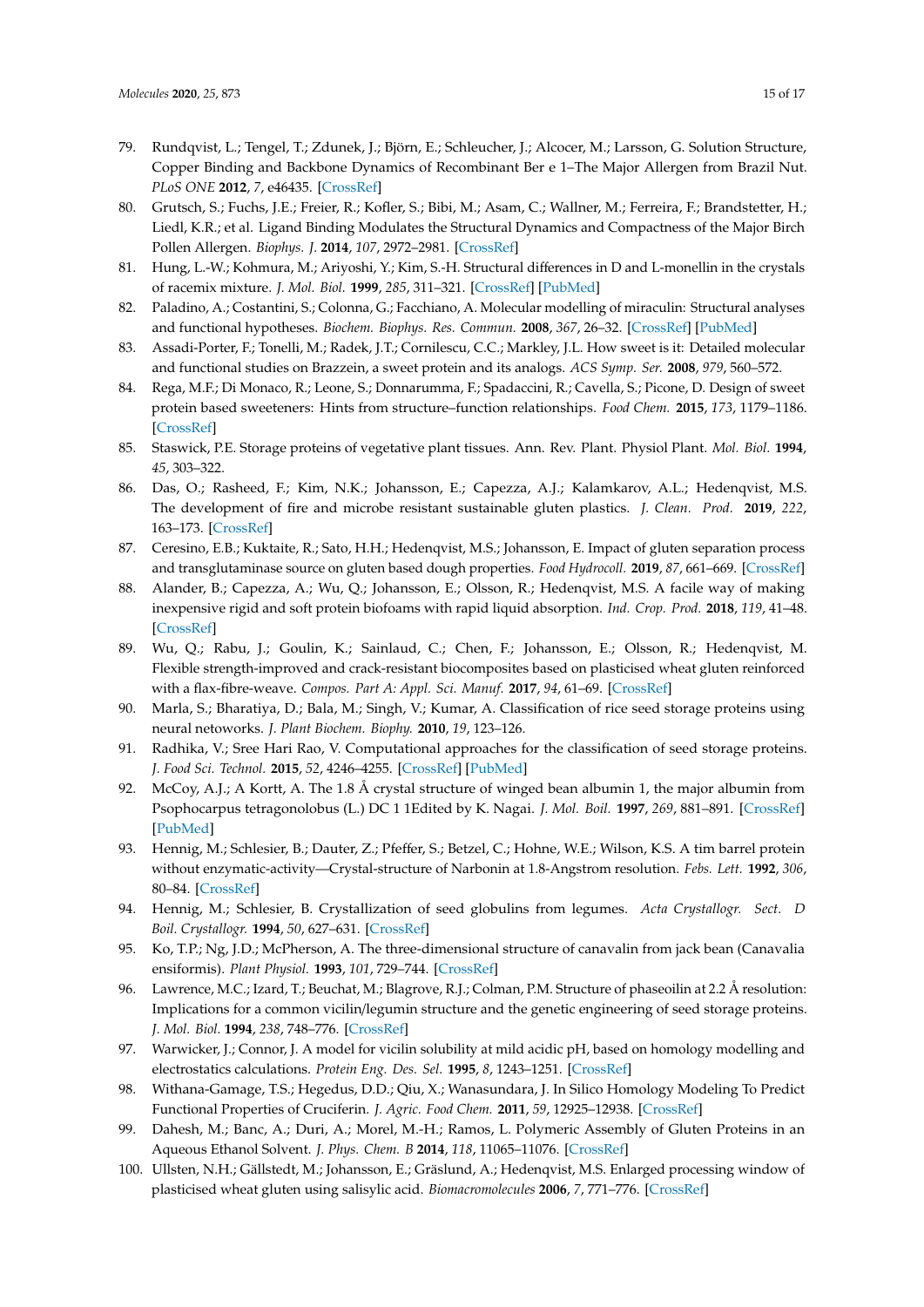- 79. Rundqvist, L.; Tengel, T.; Zdunek, J.; Björn, E.; Schleucher, J.; Alcocer, M.; Larsson, G. Solution Structure, Copper Binding and Backbone Dynamics of Recombinant Ber e 1–The Major Allergen from Brazil Nut. *PLoS ONE* **2012**, *7*, e46435. [\[CrossRef\]](http://dx.doi.org/10.1371/journal.pone.0046435)
- <span id="page-14-0"></span>80. Grutsch, S.; Fuchs, J.E.; Freier, R.; Kofler, S.; Bibi, M.; Asam, C.; Wallner, M.; Ferreira, F.; Brandstetter, H.; Liedl, K.R.; et al. Ligand Binding Modulates the Structural Dynamics and Compactness of the Major Birch Pollen Allergen. *Biophys. J.* **2014**, *107*, 2972–2981. [\[CrossRef\]](http://dx.doi.org/10.1016/j.bpj.2014.10.062)
- <span id="page-14-1"></span>81. Hung, L.-W.; Kohmura, M.; Ariyoshi, Y.; Kim, S.-H. Structural differences in D and L-monellin in the crystals of racemix mixture. *J. Mol. Biol.* **1999**, *285*, 311–321. [\[CrossRef\]](http://dx.doi.org/10.1006/jmbi.1998.2308) [\[PubMed\]](http://www.ncbi.nlm.nih.gov/pubmed/9878408)
- <span id="page-14-2"></span>82. Paladino, A.; Costantini, S.; Colonna, G.; Facchiano, A. Molecular modelling of miraculin: Structural analyses and functional hypotheses. *Biochem. Biophys. Res. Commun.* **2008**, *367*, 26–32. [\[CrossRef\]](http://dx.doi.org/10.1016/j.bbrc.2007.12.102) [\[PubMed\]](http://www.ncbi.nlm.nih.gov/pubmed/18158914)
- <span id="page-14-3"></span>83. Assadi-Porter, F.; Tonelli, M.; Radek, J.T.; Cornilescu, C.C.; Markley, J.L. How sweet is it: Detailed molecular and functional studies on Brazzein, a sweet protein and its analogs. *ACS Symp. Ser.* **2008**, *979*, 560–572.
- <span id="page-14-4"></span>84. Rega, M.F.; Di Monaco, R.; Leone, S.; Donnarumma, F.; Spadaccini, R.; Cavella, S.; Picone, D. Design of sweet protein based sweeteners: Hints from structure–function relationships. *Food Chem.* **2015**, *173*, 1179–1186. [\[CrossRef\]](http://dx.doi.org/10.1016/j.foodchem.2014.10.151)
- <span id="page-14-5"></span>85. Staswick, P.E. Storage proteins of vegetative plant tissues. Ann. Rev. Plant. Physiol Plant. *Mol. Biol.* **1994**, *45*, 303–322.
- <span id="page-14-6"></span>86. Das, O.; Rasheed, F.; Kim, N.K.; Johansson, E.; Capezza, A.J.; Kalamkarov, A.L.; Hedenqvist, M.S. The development of fire and microbe resistant sustainable gluten plastics. *J. Clean. Prod.* **2019**, *222*, 163–173. [\[CrossRef\]](http://dx.doi.org/10.1016/j.jclepro.2019.03.032)
- 87. Ceresino, E.B.; Kuktaite, R.; Sato, H.H.; Hedenqvist, M.S.; Johansson, E. Impact of gluten separation process and transglutaminase source on gluten based dough properties. *Food Hydrocoll.* **2019**, *87*, 661–669. [\[CrossRef\]](http://dx.doi.org/10.1016/j.foodhyd.2018.08.035)
- 88. Alander, B.; Capezza, A.; Wu, Q.; Johansson, E.; Olsson, R.; Hedenqvist, M.S. A facile way of making inexpensive rigid and soft protein biofoams with rapid liquid absorption. *Ind. Crop. Prod.* **2018**, *119*, 41–48. [\[CrossRef\]](http://dx.doi.org/10.1016/j.indcrop.2018.03.069)
- <span id="page-14-7"></span>89. Wu, Q.; Rabu, J.; Goulin, K.; Sainlaud, C.; Chen, F.; Johansson, E.; Olsson, R.; Hedenqvist, M. Flexible strength-improved and crack-resistant biocomposites based on plasticised wheat gluten reinforced with a flax-fibre-weave. *Compos. Part A: Appl. Sci. Manuf.* **2017**, *94*, 61–69. [\[CrossRef\]](http://dx.doi.org/10.1016/j.compositesa.2016.12.016)
- <span id="page-14-8"></span>90. Marla, S.; Bharatiya, D.; Bala, M.; Singh, V.; Kumar, A. Classification of rice seed storage proteins using neural netoworks. *J. Plant Biochem. Biophy.* **2010**, *19*, 123–126.
- <span id="page-14-9"></span>91. Radhika, V.; Sree Hari Rao, V. Computational approaches for the classification of seed storage proteins. *J. Food Sci. Technol.* **2015**, *52*, 4246–4255. [\[CrossRef\]](http://dx.doi.org/10.1007/s13197-014-1500-x) [\[PubMed\]](http://www.ncbi.nlm.nih.gov/pubmed/26139889)
- <span id="page-14-10"></span>92. McCoy, A.J.; A Kortt, A. The 1.8 Å crystal structure of winged bean albumin 1, the major albumin from Psophocarpus tetragonolobus (L.) DC 1 1Edited by K. Nagai. *J. Mol. Boil.* **1997**, *269*, 881–891. [\[CrossRef\]](http://dx.doi.org/10.1006/jmbi.1997.1067) [\[PubMed\]](http://www.ncbi.nlm.nih.gov/pubmed/9223648)
- <span id="page-14-14"></span>93. Hennig, M.; Schlesier, B.; Dauter, Z.; Pfeffer, S.; Betzel, C.; Hohne, W.E.; Wilson, K.S. A tim barrel protein without enzymatic-activity—Crystal-structure of Narbonin at 1.8-Angstrom resolution. *Febs. Lett.* **1992**, *306*, 80–84. [\[CrossRef\]](http://dx.doi.org/10.1016/0014-5793(92)80842-5)
- <span id="page-14-17"></span>94. Hennig, M.; Schlesier, B. Crystallization of seed globulins from legumes. *Acta Crystallogr. Sect. D Boil. Crystallogr.* **1994**, *50*, 627–631. [\[CrossRef\]](http://dx.doi.org/10.1107/S0907444994002738)
- 95. Ko, T.P.; Ng, J.D.; McPherson, A. The three-dimensional structure of canavalin from jack bean (Canavalia ensiformis). *Plant Physiol.* **1993**, *101*, 729–744. [\[CrossRef\]](http://dx.doi.org/10.1104/pp.101.3.729)
- <span id="page-14-15"></span>96. Lawrence, M.C.; Izard, T.; Beuchat, M.; Blagrove, R.J.; Colman, P.M. Structure of phaseoilin at 2.2 Å resolution: Implications for a common vicilin/legumin structure and the genetic engineering of seed storage proteins. *J. Mol. Biol.* **1994**, *238*, 748–776. [\[CrossRef\]](http://dx.doi.org/10.1006/jmbi.1994.1333)
- <span id="page-14-16"></span>97. Warwicker, J.; Connor, J. A model for vicilin solubility at mild acidic pH, based on homology modelling and electrostatics calculations. *Protein Eng. Des. Sel.* **1995**, *8*, 1243–1251. [\[CrossRef\]](http://dx.doi.org/10.1093/protein/8.12.1243)
- <span id="page-14-11"></span>98. Withana-Gamage, T.S.; Hegedus, D.D.; Qiu, X.; Wanasundara, J. In Silico Homology Modeling To Predict Functional Properties of Cruciferin. *J. Agric. Food Chem.* **2011**, *59*, 12925–12938. [\[CrossRef\]](http://dx.doi.org/10.1021/jf201979a)
- <span id="page-14-12"></span>99. Dahesh, M.; Banc, A.; Duri, A.; Morel, M.-H.; Ramos, L. Polymeric Assembly of Gluten Proteins in an Aqueous Ethanol Solvent. *J. Phys. Chem. B* **2014**, *118*, 11065–11076. [\[CrossRef\]](http://dx.doi.org/10.1021/jp5047134)
- <span id="page-14-13"></span>100. Ullsten, N.H.; Gällstedt, M.; Johansson, E.; Gräslund, A.; Hedenqvist, M.S. Enlarged processing window of plasticised wheat gluten using salisylic acid. *Biomacromolecules* **2006**, *7*, 771–776. [\[CrossRef\]](http://dx.doi.org/10.1021/bm050822u)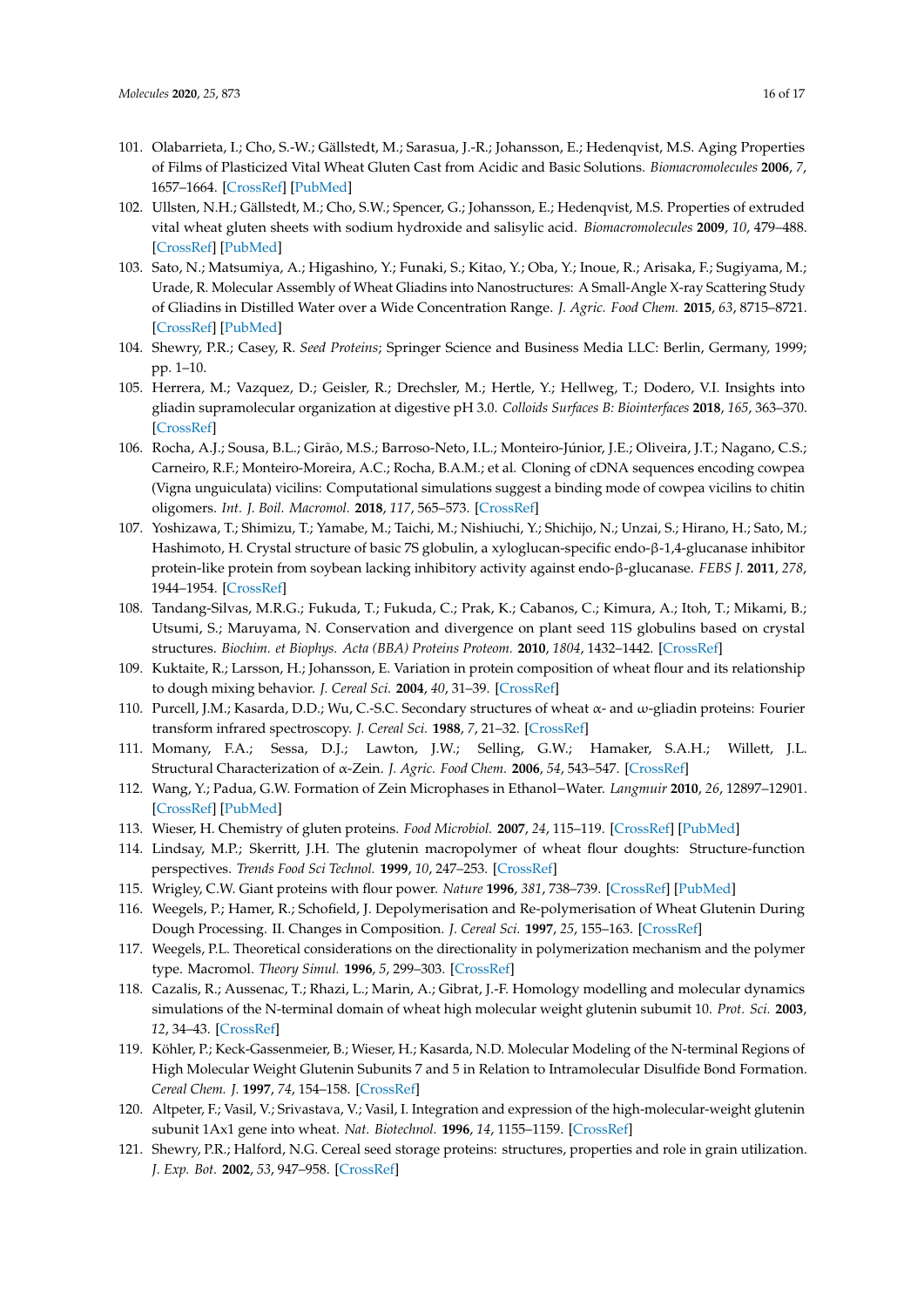- 101. Olabarrieta, I.; Cho, S.-W.; Gällstedt, M.; Sarasua, J.-R.; Johansson, E.; Hedenqvist, M.S. Aging Properties of Films of Plasticized Vital Wheat Gluten Cast from Acidic and Basic Solutions. *Biomacromolecules* **2006**, *7*, 1657–1664. [\[CrossRef\]](http://dx.doi.org/10.1021/bm0600973) [\[PubMed\]](http://www.ncbi.nlm.nih.gov/pubmed/16677051)
- 102. Ullsten, N.H.; Gällstedt, M.; Cho, S.W.; Spencer, G.; Johansson, E.; Hedenqvist, M.S. Properties of extruded vital wheat gluten sheets with sodium hydroxide and salisylic acid. *Biomacromolecules* **2009**, *10*, 479–488. [\[CrossRef\]](http://dx.doi.org/10.1021/bm800691h) [\[PubMed\]](http://www.ncbi.nlm.nih.gov/pubmed/19178277)
- <span id="page-15-1"></span>103. Sato, N.; Matsumiya, A.; Higashino, Y.; Funaki, S.; Kitao, Y.; Oba, Y.; Inoue, R.; Arisaka, F.; Sugiyama, M.; Urade, R. Molecular Assembly of Wheat Gliadins into Nanostructures: A Small-Angle X-ray Scattering Study of Gliadins in Distilled Water over a Wide Concentration Range. *J. Agric. Food Chem.* **2015**, *63*, 8715–8721. [\[CrossRef\]](http://dx.doi.org/10.1021/acs.jafc.5b02902) [\[PubMed\]](http://www.ncbi.nlm.nih.gov/pubmed/26365302)
- <span id="page-15-0"></span>104. Shewry, P.R.; Casey, R. *Seed Proteins*; Springer Science and Business Media LLC: Berlin, Germany, 1999; pp. 1–10.
- <span id="page-15-2"></span>105. Herrera, M.; Vazquez, D.; Geisler, R.; Drechsler, M.; Hertle, Y.; Hellweg, T.; Dodero, V.I. Insights into gliadin supramolecular organization at digestive pH 3.0. *Colloids Surfaces B: Biointerfaces* **2018**, *165*, 363–370. [\[CrossRef\]](http://dx.doi.org/10.1016/j.colsurfb.2018.02.053)
- <span id="page-15-3"></span>106. Rocha, A.J.; Sousa, B.L.; Girão, M.S.; Barroso-Neto, I.L.; Monteiro-Júnior, J.E.; Oliveira, J.T.; Nagano, C.S.; Carneiro, R.F.; Monteiro-Moreira, A.C.; Rocha, B.A.M.; et al. Cloning of cDNA sequences encoding cowpea (Vigna unguiculata) vicilins: Computational simulations suggest a binding mode of cowpea vicilins to chitin oligomers. *Int. J. Boil. Macromol.* **2018**, *117*, 565–573. [\[CrossRef\]](http://dx.doi.org/10.1016/j.ijbiomac.2018.05.197)
- <span id="page-15-4"></span>107. Yoshizawa, T.; Shimizu, T.; Yamabe, M.; Taichi, M.; Nishiuchi, Y.; Shichijo, N.; Unzai, S.; Hirano, H.; Sato, M.; Hashimoto, H. Crystal structure of basic 7S globulin, a xyloglucan-specific endo-β-1,4-glucanase inhibitor protein-like protein from soybean lacking inhibitory activity against endo-β-glucanase. *FEBS J.* **2011**, *278*, 1944–1954. [\[CrossRef\]](http://dx.doi.org/10.1111/j.1742-4658.2011.08111.x)
- <span id="page-15-5"></span>108. Tandang-Silvas, M.R.G.; Fukuda, T.; Fukuda, C.; Prak, K.; Cabanos, C.; Kimura, A.; Itoh, T.; Mikami, B.; Utsumi, S.; Maruyama, N. Conservation and divergence on plant seed 11S globulins based on crystal structures. *Biochim. et Biophys. Acta (BBA) Proteins Proteom.* **2010**, *1804*, 1432–1442. [\[CrossRef\]](http://dx.doi.org/10.1016/j.bbapap.2010.02.016)
- <span id="page-15-6"></span>109. Kuktaite, R.; Larsson, H.; Johansson, E. Variation in protein composition of wheat flour and its relationship to dough mixing behavior. *J. Cereal Sci.* **2004**, *40*, 31–39. [\[CrossRef\]](http://dx.doi.org/10.1016/j.jcs.2004.04.007)
- <span id="page-15-7"></span>110. Purcell, J.M.; Kasarda, D.D.; Wu, C.-S.C. Secondary structures of wheat α- and ω-gliadin proteins: Fourier transform infrared spectroscopy. *J. Cereal Sci.* **1988**, *7*, 21–32. [\[CrossRef\]](http://dx.doi.org/10.1016/S0733-5210(88)80056-0)
- <span id="page-15-8"></span>111. Momany, F.A.; Sessa, D.J.; Lawton, J.W.; Selling, G.W.; Hamaker, S.A.H.; Willett, J.L. Structural Characterization of α-Zein. *J. Agric. Food Chem.* **2006**, *54*, 543–547. [\[CrossRef\]](http://dx.doi.org/10.1021/jf058135h)
- <span id="page-15-9"></span>112. Wang, Y.; Padua, G.W. Formation of Zein Microphases in Ethanol−Water. *Langmuir* **2010**, *26*, 12897–12901. [\[CrossRef\]](http://dx.doi.org/10.1021/la101688v) [\[PubMed\]](http://www.ncbi.nlm.nih.gov/pubmed/20617833)
- <span id="page-15-10"></span>113. Wieser, H. Chemistry of gluten proteins. *Food Microbiol.* **2007**, *24*, 115–119. [\[CrossRef\]](http://dx.doi.org/10.1016/j.fm.2006.07.004) [\[PubMed\]](http://www.ncbi.nlm.nih.gov/pubmed/17008153)
- <span id="page-15-11"></span>114. Lindsay, M.P.; Skerritt, J.H. The glutenin macropolymer of wheat flour doughts: Structure-function perspectives. *Trends Food Sci Technol.* **1999**, *10*, 247–253. [\[CrossRef\]](http://dx.doi.org/10.1016/S0924-2244(00)00004-2)
- <span id="page-15-12"></span>115. Wrigley, C.W. Giant proteins with flour power. *Nature* **1996**, *381*, 738–739. [\[CrossRef\]](http://dx.doi.org/10.1038/381738a0) [\[PubMed\]](http://www.ncbi.nlm.nih.gov/pubmed/8657274)
- <span id="page-15-13"></span>116. Weegels, P.; Hamer, R.; Schofield, J. Depolymerisation and Re-polymerisation of Wheat Glutenin During Dough Processing. II. Changes in Composition. *J. Cereal Sci.* **1997**, *25*, 155–163. [\[CrossRef\]](http://dx.doi.org/10.1006/jcrs.1996.0082)
- <span id="page-15-14"></span>117. Weegels, P.L. Theoretical considerations on the directionality in polymerization mechanism and the polymer type. Macromol. *Theory Simul.* **1996**, *5*, 299–303. [\[CrossRef\]](http://dx.doi.org/10.1002/mats.1996.040050210)
- <span id="page-15-15"></span>118. Cazalis, R.; Aussenac, T.; Rhazi, L.; Marin, A.; Gibrat, J.-F. Homology modelling and molecular dynamics simulations of the N-terminal domain of wheat high molecular weight glutenin subumit 10. *Prot. Sci.* **2003**, *12*, 34–43. [\[CrossRef\]](http://dx.doi.org/10.1110/ps.0229803)
- <span id="page-15-16"></span>119. Köhler, P.; Keck-Gassenmeier, B.; Wieser, H.; Kasarda, N.D. Molecular Modeling of the N-terminal Regions of High Molecular Weight Glutenin Subunits 7 and 5 in Relation to Intramolecular Disulfide Bond Formation. *Cereal Chem. J.* **1997**, *74*, 154–158. [\[CrossRef\]](http://dx.doi.org/10.1094/CCHEM.1997.74.2.154)
- <span id="page-15-17"></span>120. Altpeter, F.; Vasil, V.; Srivastava, V.; Vasil, I. Integration and expression of the high-molecular-weight glutenin subunit 1Ax1 gene into wheat. *Nat. Biotechnol.* **1996**, *14*, 1155–1159. [\[CrossRef\]](http://dx.doi.org/10.1038/nbt0996-1155)
- <span id="page-15-18"></span>121. Shewry, P.R.; Halford, N.G. Cereal seed storage proteins: structures, properties and role in grain utilization. *J. Exp. Bot.* **2002**, *53*, 947–958. [\[CrossRef\]](http://dx.doi.org/10.1093/jexbot/53.370.947)